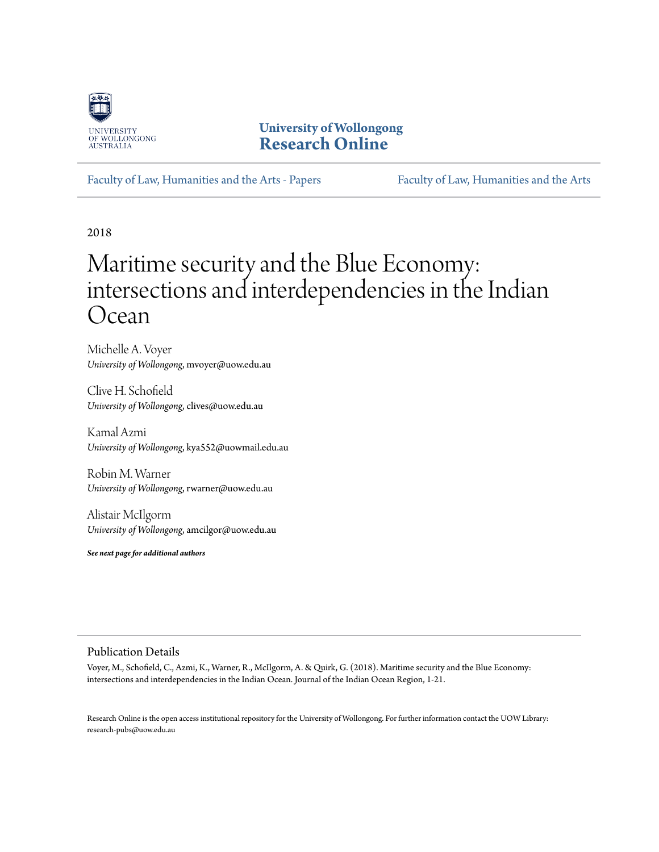

**University of Wollongong [Research Online](https://ro.uow.edu.au)**

[Faculty of Law, Humanities and the Arts - Papers](https://ro.uow.edu.au/lhapapers) [Faculty of Law, Humanities and the Arts](https://ro.uow.edu.au/lha)

2018

# Maritime security and the Blue Economy: intersections and interdependencies in the Indian Ocean

Michelle A. Voyer *University of Wollongong*, mvoyer@uow.edu.au

Clive H. Schofield *University of Wollongong*, clives@uow.edu.au

Kamal Azmi *University of Wollongong*, kya552@uowmail.edu.au

Robin M. Warner *University of Wollongong*, rwarner@uow.edu.au

Alistair McIlgorm *University of Wollongong*, amcilgor@uow.edu.au

*See next page for additional authors*

#### Publication Details

Voyer, M., Schofield, C., Azmi, K., Warner, R., McIlgorm, A. & Quirk, G. (2018). Maritime security and the Blue Economy: intersections and interdependencies in the Indian Ocean. Journal of the Indian Ocean Region, 1-21.

Research Online is the open access institutional repository for the University of Wollongong. For further information contact the UOW Library: research-pubs@uow.edu.au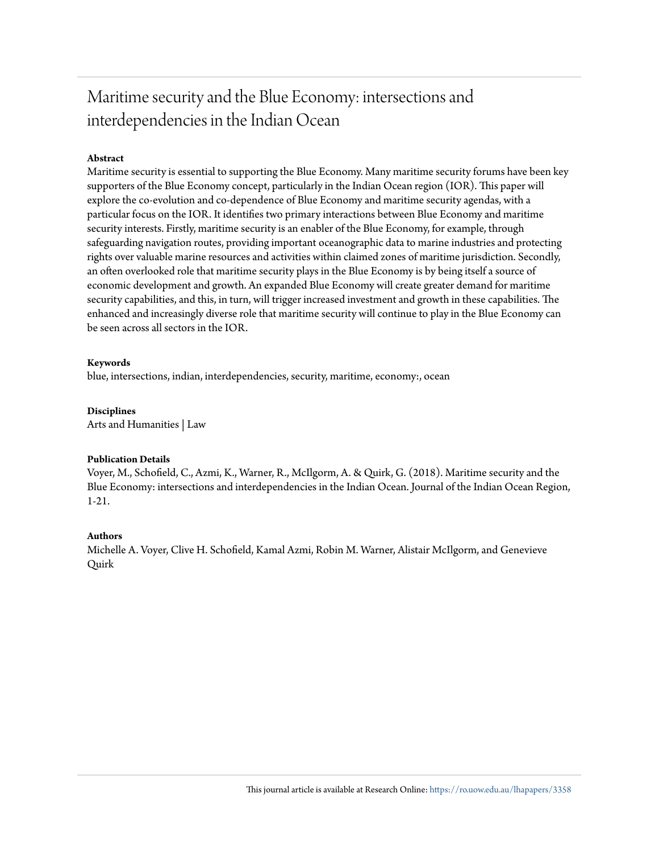# Maritime security and the Blue Economy: intersections and interdependencies in the Indian Ocean

#### **Abstract**

Maritime security is essential to supporting the Blue Economy. Many maritime security forums have been key supporters of the Blue Economy concept, particularly in the Indian Ocean region (IOR). This paper will explore the co-evolution and co-dependence of Blue Economy and maritime security agendas, with a particular focus on the IOR. It identifies two primary interactions between Blue Economy and maritime security interests. Firstly, maritime security is an enabler of the Blue Economy, for example, through safeguarding navigation routes, providing important oceanographic data to marine industries and protecting rights over valuable marine resources and activities within claimed zones of maritime jurisdiction. Secondly, an often overlooked role that maritime security plays in the Blue Economy is by being itself a source of economic development and growth. An expanded Blue Economy will create greater demand for maritime security capabilities, and this, in turn, will trigger increased investment and growth in these capabilities. The enhanced and increasingly diverse role that maritime security will continue to play in the Blue Economy can be seen across all sectors in the IOR.

#### **Keywords**

blue, intersections, indian, interdependencies, security, maritime, economy:, ocean

**Disciplines** Arts and Humanities | Law

#### **Publication Details**

Voyer, M., Schofield, C., Azmi, K., Warner, R., McIlgorm, A. & Quirk, G. (2018). Maritime security and the Blue Economy: intersections and interdependencies in the Indian Ocean. Journal of the Indian Ocean Region, 1-21.

#### **Authors**

Michelle A. Voyer, Clive H. Schofield, Kamal Azmi, Robin M. Warner, Alistair McIlgorm, and Genevieve Quirk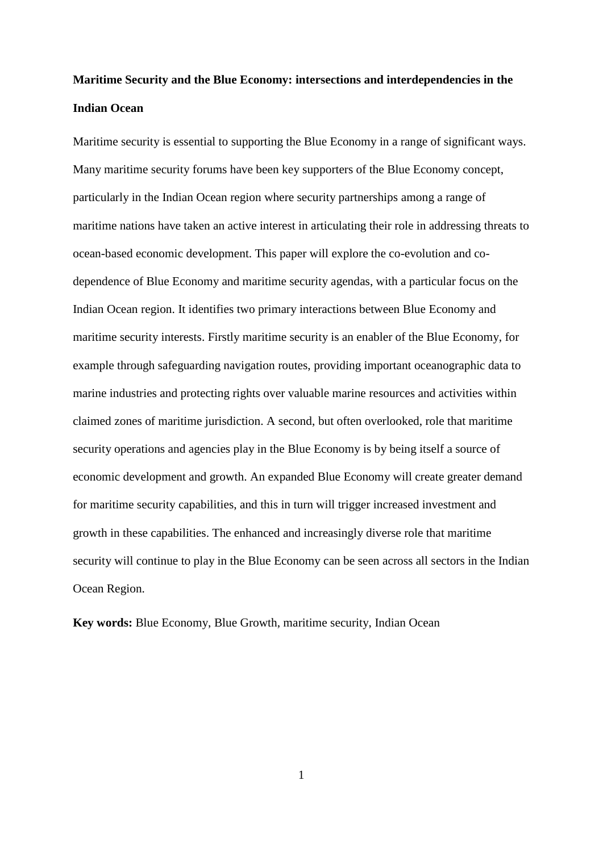# **Maritime Security and the Blue Economy: intersections and interdependencies in the Indian Ocean**

Maritime security is essential to supporting the Blue Economy in a range of significant ways. Many maritime security forums have been key supporters of the Blue Economy concept, particularly in the Indian Ocean region where security partnerships among a range of maritime nations have taken an active interest in articulating their role in addressing threats to ocean-based economic development. This paper will explore the co-evolution and codependence of Blue Economy and maritime security agendas, with a particular focus on the Indian Ocean region. It identifies two primary interactions between Blue Economy and maritime security interests. Firstly maritime security is an enabler of the Blue Economy, for example through safeguarding navigation routes, providing important oceanographic data to marine industries and protecting rights over valuable marine resources and activities within claimed zones of maritime jurisdiction. A second, but often overlooked, role that maritime security operations and agencies play in the Blue Economy is by being itself a source of economic development and growth. An expanded Blue Economy will create greater demand for maritime security capabilities, and this in turn will trigger increased investment and growth in these capabilities. The enhanced and increasingly diverse role that maritime security will continue to play in the Blue Economy can be seen across all sectors in the Indian Ocean Region.

**Key words:** Blue Economy, Blue Growth, maritime security, Indian Ocean

1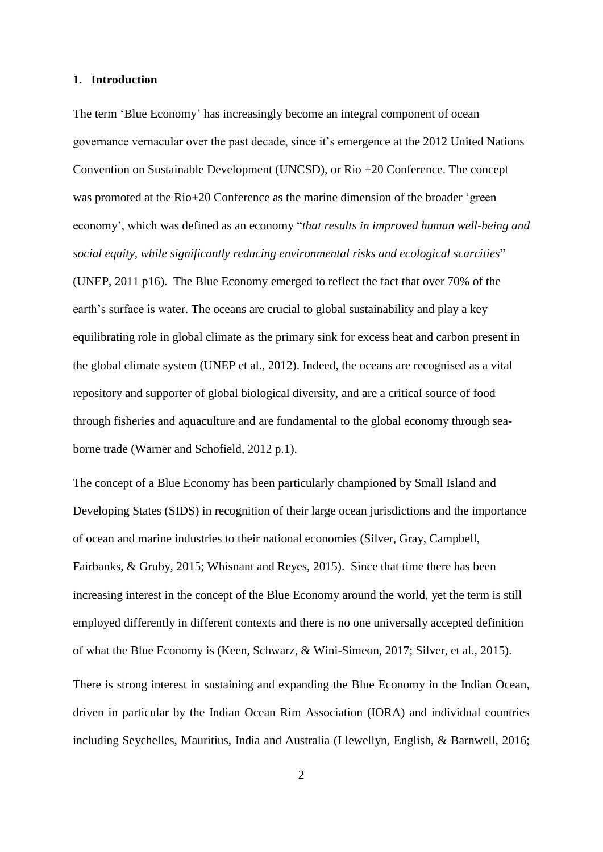#### **1. Introduction**

The term 'Blue Economy' has increasingly become an integral component of ocean governance vernacular over the past decade, since it's emergence at the 2012 United Nations Convention on Sustainable Development (UNCSD), or Rio +20 Conference. The concept was promoted at the Rio+20 Conference as the marine dimension of the broader 'green economy', which was defined as an economy "*that results in improved human well-being and social equity, while significantly reducing environmental risks and ecological scarcities*" (UNEP, 2011 p16). The Blue Economy emerged to reflect the fact that over 70% of the earth's surface is water. The oceans are crucial to global sustainability and play a key equilibrating role in global climate as the primary sink for excess heat and carbon present in the global climate system (UNEP et al., 2012). Indeed, the oceans are recognised as a vital repository and supporter of global biological diversity, and are a critical source of food through fisheries and aquaculture and are fundamental to the global economy through seaborne trade (Warner and Schofield, 2012 p.1).

The concept of a Blue Economy has been particularly championed by Small Island and Developing States (SIDS) in recognition of their large ocean jurisdictions and the importance of ocean and marine industries to their national economies (Silver, Gray, Campbell, Fairbanks, & Gruby, 2015; Whisnant and Reyes, 2015). Since that time there has been increasing interest in the concept of the Blue Economy around the world, yet the term is still employed differently in different contexts and there is no one universally accepted definition of what the Blue Economy is (Keen, Schwarz, & Wini-Simeon, 2017; Silver, et al., 2015).

There is strong interest in sustaining and expanding the Blue Economy in the Indian Ocean, driven in particular by the Indian Ocean Rim Association (IORA) and individual countries including Seychelles, Mauritius, India and Australia (Llewellyn, English, & Barnwell, 2016;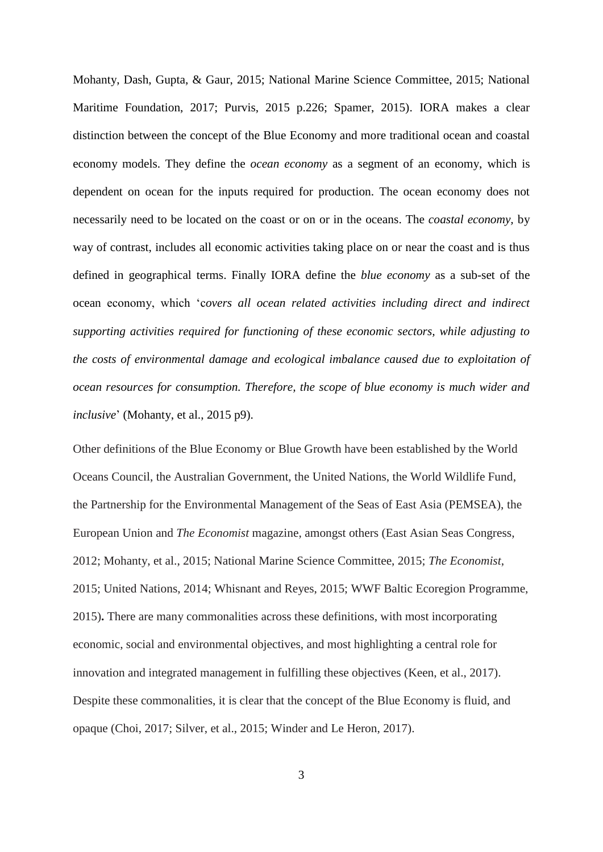Mohanty, Dash, Gupta, & Gaur, 2015; National Marine Science Committee, 2015; National Maritime Foundation, 2017; Purvis, 2015 p.226; Spamer, 2015). IORA makes a clear distinction between the concept of the Blue Economy and more traditional ocean and coastal economy models. They define the *ocean economy* as a segment of an economy, which is dependent on ocean for the inputs required for production. The ocean economy does not necessarily need to be located on the coast or on or in the oceans. The *coastal economy,* by way of contrast, includes all economic activities taking place on or near the coast and is thus defined in geographical terms. Finally IORA define the *blue economy* as a sub-set of the ocean economy, which 'c*overs all ocean related activities including direct and indirect supporting activities required for functioning of these economic sectors, while adjusting to the costs of environmental damage and ecological imbalance caused due to exploitation of ocean resources for consumption. Therefore, the scope of blue economy is much wider and inclusive*' (Mohanty, et al., 2015 p9).

Other definitions of the Blue Economy or Blue Growth have been established by the World Oceans Council, the Australian Government, the United Nations, the World Wildlife Fund, the Partnership for the Environmental Management of the Seas of East Asia (PEMSEA), the European Union and *The Economist* magazine, amongst others (East Asian Seas Congress, 2012; Mohanty, et al., 2015; National Marine Science Committee, 2015; *The Economist*, 2015; United Nations, 2014; Whisnant and Reyes, 2015; WWF Baltic Ecoregion Programme, 2015)**.** There are many commonalities across these definitions, with most incorporating economic, social and environmental objectives, and most highlighting a central role for innovation and integrated management in fulfilling these objectives (Keen, et al., 2017). Despite these commonalities, it is clear that the concept of the Blue Economy is fluid, and opaque (Choi, 2017; Silver, et al., 2015; Winder and Le Heron, 2017).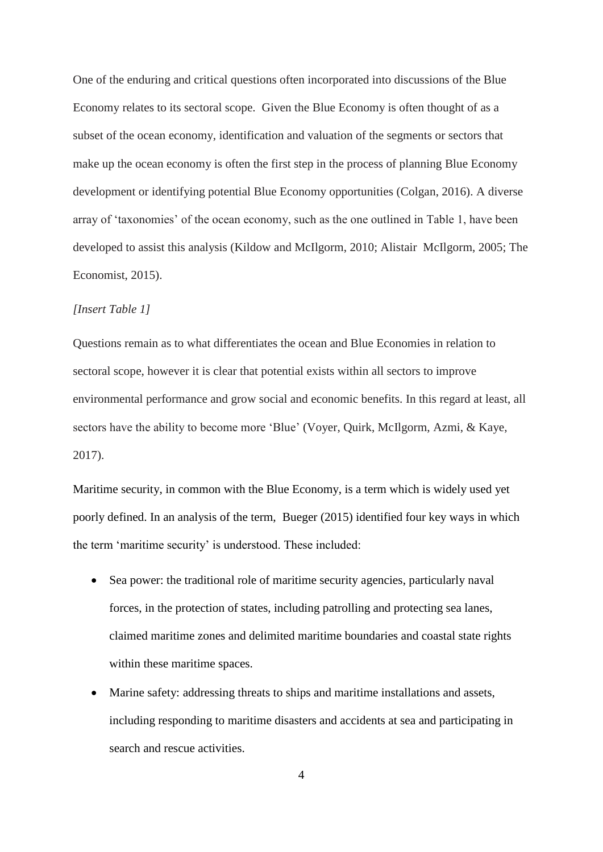One of the enduring and critical questions often incorporated into discussions of the Blue Economy relates to its sectoral scope. Given the Blue Economy is often thought of as a subset of the ocean economy, identification and valuation of the segments or sectors that make up the ocean economy is often the first step in the process of planning Blue Economy development or identifying potential Blue Economy opportunities (Colgan, 2016). A diverse array of 'taxonomies' of the ocean economy, such as the one outlined in Table 1, have been developed to assist this analysis (Kildow and McIlgorm, 2010; Alistair McIlgorm, 2005; The Economist, 2015).

#### *[Insert Table 1]*

Questions remain as to what differentiates the ocean and Blue Economies in relation to sectoral scope, however it is clear that potential exists within all sectors to improve environmental performance and grow social and economic benefits. In this regard at least, all sectors have the ability to become more 'Blue' (Voyer, Quirk, McIlgorm, Azmi, & Kaye, 2017).

Maritime security, in common with the Blue Economy, is a term which is widely used yet poorly defined. In an analysis of the term, Bueger (2015) identified four key ways in which the term 'maritime security' is understood. These included:

- Sea power: the traditional role of maritime security agencies, particularly naval forces, in the protection of states, including patrolling and protecting sea lanes, claimed maritime zones and delimited maritime boundaries and coastal state rights within these maritime spaces.
- Marine safety: addressing threats to ships and maritime installations and assets, including responding to maritime disasters and accidents at sea and participating in search and rescue activities.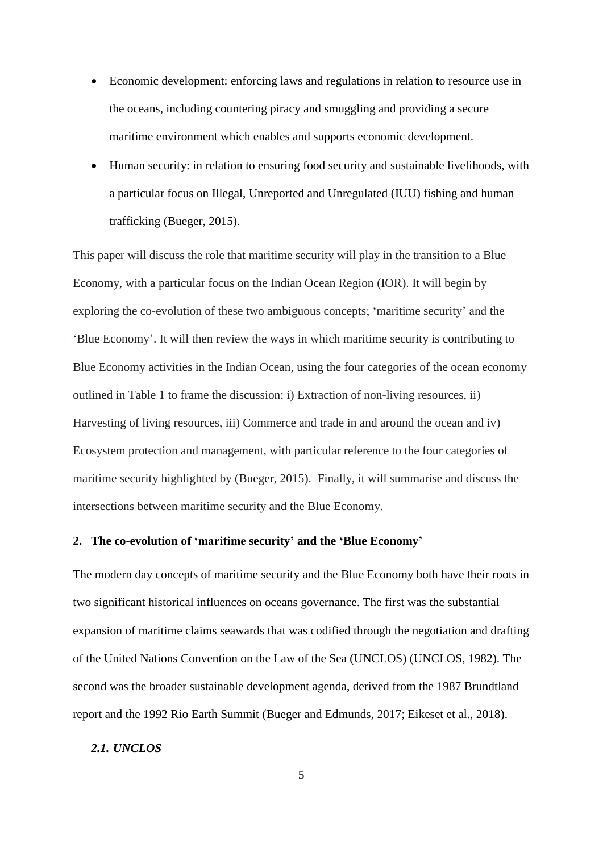- Economic development: enforcing laws and regulations in relation to resource use in the oceans, including countering piracy and smuggling and providing a secure maritime environment which enables and supports economic development.
- Human security: in relation to ensuring food security and sustainable livelihoods, with a particular focus on Illegal, Unreported and Unregulated (IUU) fishing and human trafficking (Bueger, 2015).

This paper will discuss the role that maritime security will play in the transition to a Blue Economy, with a particular focus on the Indian Ocean Region (IOR). It will begin by exploring the co-evolution of these two ambiguous concepts; 'maritime security' and the 'Blue Economy'. It will then review the ways in which maritime security is contributing to Blue Economy activities in the Indian Ocean, using the four categories of the ocean economy outlined in Table 1 to frame the discussion: i) Extraction of non-living resources, ii) Harvesting of living resources, iii) Commerce and trade in and around the ocean and iv) Ecosystem protection and management, with particular reference to the four categories of maritime security highlighted by (Bueger, 2015). Finally, it will summarise and discuss the intersections between maritime security and the Blue Economy.

# **2. The co-evolution of 'maritime security' and the 'Blue Economy'**

The modern day concepts of maritime security and the Blue Economy both have their roots in two significant historical influences on oceans governance. The first was the substantial expansion of maritime claims seawards that was codified through the negotiation and drafting of the United Nations Convention on the Law of the Sea (UNCLOS) (UNCLOS, 1982). The second was the broader sustainable development agenda, derived from the 1987 Brundtland report and the 1992 Rio Earth Summit (Bueger and Edmunds, 2017; Eikeset et al., 2018).

# *2.1. UNCLOS*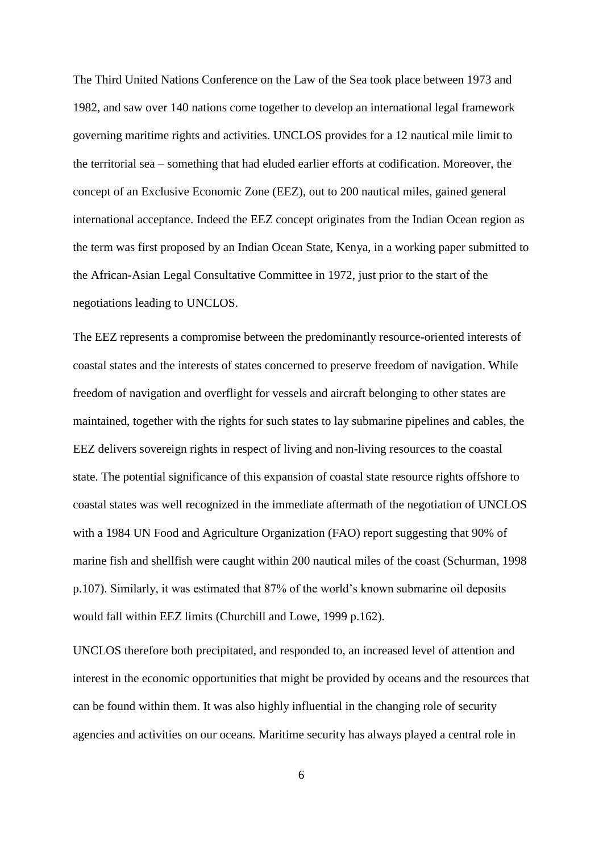The Third United Nations Conference on the Law of the Sea took place between 1973 and 1982, and saw over 140 nations come together to develop an international legal framework governing maritime rights and activities. UNCLOS provides for a 12 nautical mile limit to the territorial sea – something that had eluded earlier efforts at codification. Moreover, the concept of an Exclusive Economic Zone (EEZ), out to 200 nautical miles, gained general international acceptance. Indeed the EEZ concept originates from the Indian Ocean region as the term was first proposed by an Indian Ocean State, Kenya, in a working paper submitted to the African-Asian Legal Consultative Committee in 1972, just prior to the start of the negotiations leading to UNCLOS.

The EEZ represents a compromise between the predominantly resource-oriented interests of coastal states and the interests of states concerned to preserve freedom of navigation. While freedom of navigation and overflight for vessels and aircraft belonging to other states are maintained, together with the rights for such states to lay submarine pipelines and cables, the EEZ delivers sovereign rights in respect of living and non-living resources to the coastal state. The potential significance of this expansion of coastal state resource rights offshore to coastal states was well recognized in the immediate aftermath of the negotiation of UNCLOS with a 1984 UN Food and Agriculture Organization (FAO) report suggesting that 90% of marine fish and shellfish were caught within 200 nautical miles of the coast (Schurman, 1998 p.107). Similarly, it was estimated that 87% of the world's known submarine oil deposits would fall within EEZ limits (Churchill and Lowe, 1999 p.162).

UNCLOS therefore both precipitated, and responded to, an increased level of attention and interest in the economic opportunities that might be provided by oceans and the resources that can be found within them. It was also highly influential in the changing role of security agencies and activities on our oceans. Maritime security has always played a central role in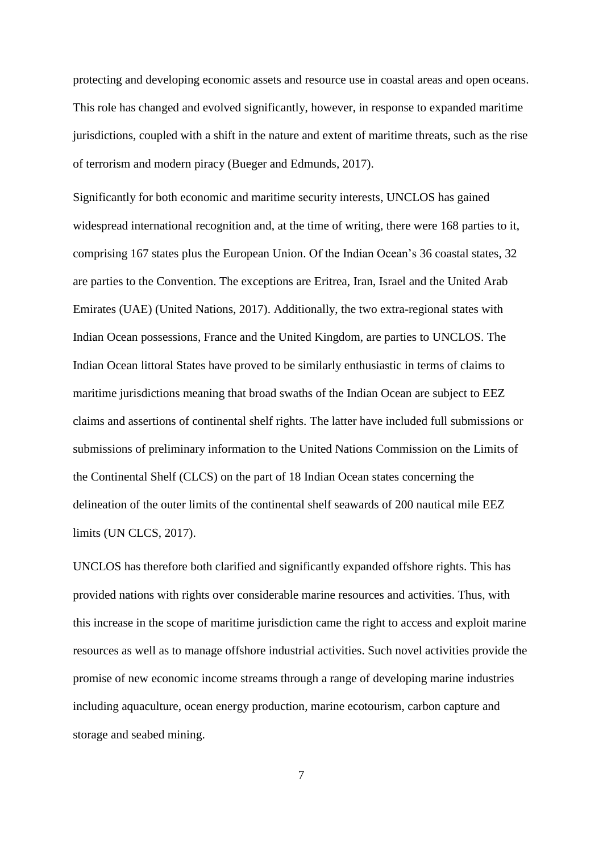protecting and developing economic assets and resource use in coastal areas and open oceans. This role has changed and evolved significantly, however, in response to expanded maritime jurisdictions, coupled with a shift in the nature and extent of maritime threats, such as the rise of terrorism and modern piracy (Bueger and Edmunds, 2017).

Significantly for both economic and maritime security interests, UNCLOS has gained widespread international recognition and, at the time of writing, there were 168 parties to it, comprising 167 states plus the European Union. Of the Indian Ocean's 36 coastal states, 32 are parties to the Convention. The exceptions are Eritrea, Iran, Israel and the United Arab Emirates (UAE) (United Nations, 2017). Additionally, the two extra-regional states with Indian Ocean possessions, France and the United Kingdom, are parties to UNCLOS. The Indian Ocean littoral States have proved to be similarly enthusiastic in terms of claims to maritime jurisdictions meaning that broad swaths of the Indian Ocean are subject to EEZ claims and assertions of continental shelf rights. The latter have included full submissions or submissions of preliminary information to the United Nations Commission on the Limits of the Continental Shelf (CLCS) on the part of 18 Indian Ocean states concerning the delineation of the outer limits of the continental shelf seawards of 200 nautical mile EEZ limits (UN CLCS, 2017).

UNCLOS has therefore both clarified and significantly expanded offshore rights. This has provided nations with rights over considerable marine resources and activities. Thus, with this increase in the scope of maritime jurisdiction came the right to access and exploit marine resources as well as to manage offshore industrial activities. Such novel activities provide the promise of new economic income streams through a range of developing marine industries including aquaculture, ocean energy production, marine ecotourism, carbon capture and storage and seabed mining.

7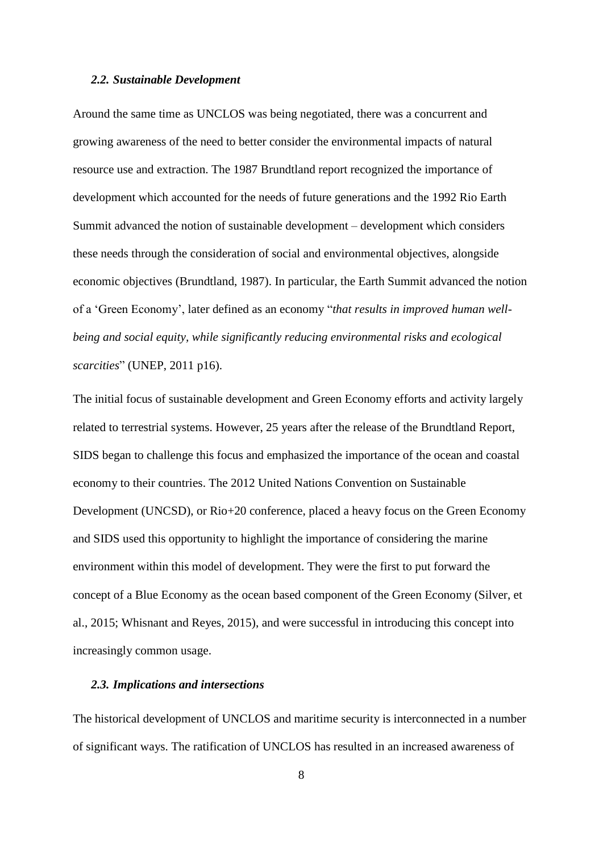#### *2.2. Sustainable Development*

Around the same time as UNCLOS was being negotiated, there was a concurrent and growing awareness of the need to better consider the environmental impacts of natural resource use and extraction. The 1987 Brundtland report recognized the importance of development which accounted for the needs of future generations and the 1992 Rio Earth Summit advanced the notion of sustainable development – development which considers these needs through the consideration of social and environmental objectives, alongside economic objectives (Brundtland, 1987). In particular, the Earth Summit advanced the notion of a 'Green Economy', later defined as an economy "*that results in improved human wellbeing and social equity, while significantly reducing environmental risks and ecological scarcities*" (UNEP, 2011 p16).

The initial focus of sustainable development and Green Economy efforts and activity largely related to terrestrial systems. However, 25 years after the release of the Brundtland Report, SIDS began to challenge this focus and emphasized the importance of the ocean and coastal economy to their countries. The 2012 United Nations Convention on Sustainable Development (UNCSD), or Rio+20 conference, placed a heavy focus on the Green Economy and SIDS used this opportunity to highlight the importance of considering the marine environment within this model of development. They were the first to put forward the concept of a Blue Economy as the ocean based component of the Green Economy (Silver, et al., 2015; Whisnant and Reyes, 2015), and were successful in introducing this concept into increasingly common usage.

#### *2.3. Implications and intersections*

The historical development of UNCLOS and maritime security is interconnected in a number of significant ways. The ratification of UNCLOS has resulted in an increased awareness of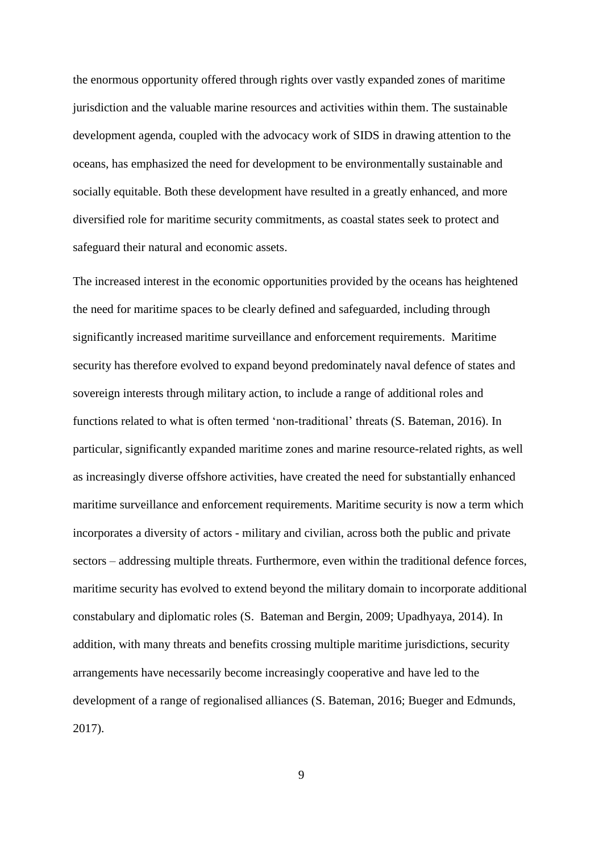the enormous opportunity offered through rights over vastly expanded zones of maritime jurisdiction and the valuable marine resources and activities within them. The sustainable development agenda, coupled with the advocacy work of SIDS in drawing attention to the oceans, has emphasized the need for development to be environmentally sustainable and socially equitable. Both these development have resulted in a greatly enhanced, and more diversified role for maritime security commitments, as coastal states seek to protect and safeguard their natural and economic assets.

The increased interest in the economic opportunities provided by the oceans has heightened the need for maritime spaces to be clearly defined and safeguarded, including through significantly increased maritime surveillance and enforcement requirements. Maritime security has therefore evolved to expand beyond predominately naval defence of states and sovereign interests through military action, to include a range of additional roles and functions related to what is often termed 'non-traditional' threats (S. Bateman, 2016). In particular, significantly expanded maritime zones and marine resource-related rights, as well as increasingly diverse offshore activities, have created the need for substantially enhanced maritime surveillance and enforcement requirements. Maritime security is now a term which incorporates a diversity of actors - military and civilian, across both the public and private sectors – addressing multiple threats. Furthermore, even within the traditional defence forces, maritime security has evolved to extend beyond the military domain to incorporate additional constabulary and diplomatic roles (S. Bateman and Bergin, 2009; Upadhyaya, 2014). In addition, with many threats and benefits crossing multiple maritime jurisdictions, security arrangements have necessarily become increasingly cooperative and have led to the development of a range of regionalised alliances (S. Bateman, 2016; Bueger and Edmunds, 2017).

9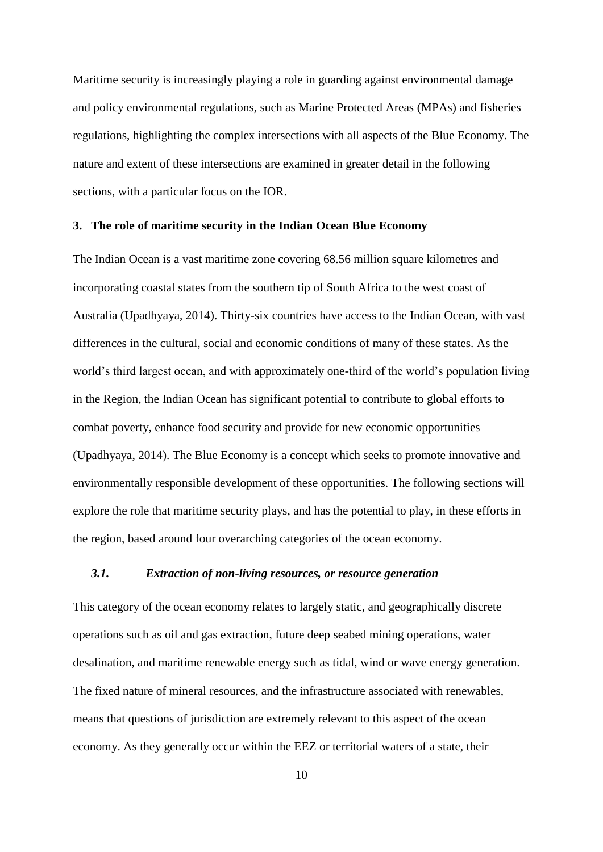Maritime security is increasingly playing a role in guarding against environmental damage and policy environmental regulations, such as Marine Protected Areas (MPAs) and fisheries regulations, highlighting the complex intersections with all aspects of the Blue Economy. The nature and extent of these intersections are examined in greater detail in the following sections, with a particular focus on the IOR.

#### **3. The role of maritime security in the Indian Ocean Blue Economy**

The Indian Ocean is a vast maritime zone covering 68.56 million square kilometres and incorporating coastal states from the southern tip of South Africa to the west coast of Australia (Upadhyaya, 2014). Thirty-six countries have access to the Indian Ocean, with vast differences in the cultural, social and economic conditions of many of these states. As the world's third largest ocean, and with approximately one-third of the world's population living in the Region, the Indian Ocean has significant potential to contribute to global efforts to combat poverty, enhance food security and provide for new economic opportunities (Upadhyaya, 2014). The Blue Economy is a concept which seeks to promote innovative and environmentally responsible development of these opportunities. The following sections will explore the role that maritime security plays, and has the potential to play, in these efforts in the region, based around four overarching categories of the ocean economy.

### *3.1. Extraction of non-living resources, or resource generation*

This category of the ocean economy relates to largely static, and geographically discrete operations such as oil and gas extraction, future deep seabed mining operations, water desalination, and maritime renewable energy such as tidal, wind or wave energy generation. The fixed nature of mineral resources, and the infrastructure associated with renewables, means that questions of jurisdiction are extremely relevant to this aspect of the ocean economy. As they generally occur within the EEZ or territorial waters of a state, their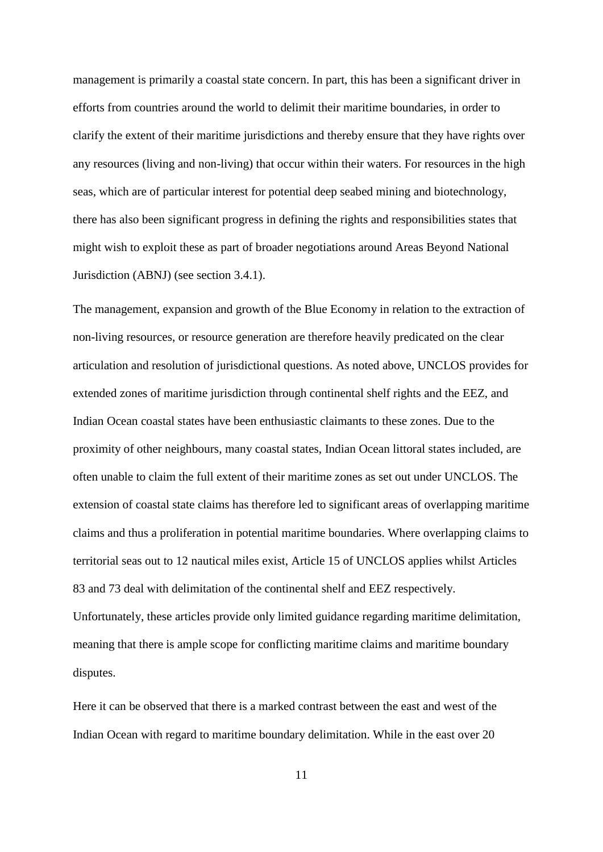management is primarily a coastal state concern. In part, this has been a significant driver in efforts from countries around the world to delimit their maritime boundaries, in order to clarify the extent of their maritime jurisdictions and thereby ensure that they have rights over any resources (living and non-living) that occur within their waters. For resources in the high seas, which are of particular interest for potential deep seabed mining and biotechnology, there has also been significant progress in defining the rights and responsibilities states that might wish to exploit these as part of broader negotiations around Areas Beyond National Jurisdiction (ABNJ) (see section 3.4.1).

The management, expansion and growth of the Blue Economy in relation to the extraction of non-living resources, or resource generation are therefore heavily predicated on the clear articulation and resolution of jurisdictional questions. As noted above, UNCLOS provides for extended zones of maritime jurisdiction through continental shelf rights and the EEZ, and Indian Ocean coastal states have been enthusiastic claimants to these zones. Due to the proximity of other neighbours, many coastal states, Indian Ocean littoral states included, are often unable to claim the full extent of their maritime zones as set out under UNCLOS. The extension of coastal state claims has therefore led to significant areas of overlapping maritime claims and thus a proliferation in potential maritime boundaries. Where overlapping claims to territorial seas out to 12 nautical miles exist, Article 15 of UNCLOS applies whilst Articles 83 and 73 deal with delimitation of the continental shelf and EEZ respectively. Unfortunately, these articles provide only limited guidance regarding maritime delimitation, meaning that there is ample scope for conflicting maritime claims and maritime boundary disputes.

Here it can be observed that there is a marked contrast between the east and west of the Indian Ocean with regard to maritime boundary delimitation. While in the east over 20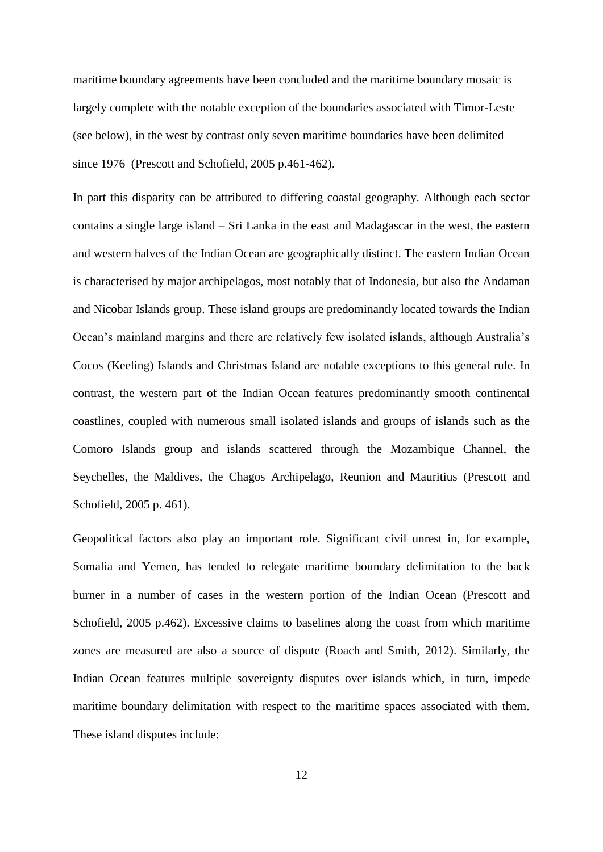maritime boundary agreements have been concluded and the maritime boundary mosaic is largely complete with the notable exception of the boundaries associated with Timor-Leste (see below), in the west by contrast only seven maritime boundaries have been delimited since 1976 (Prescott and Schofield, 2005 p.461-462).

In part this disparity can be attributed to differing coastal geography. Although each sector contains a single large island – Sri Lanka in the east and Madagascar in the west, the eastern and western halves of the Indian Ocean are geographically distinct. The eastern Indian Ocean is characterised by major archipelagos, most notably that of Indonesia, but also the Andaman and Nicobar Islands group. These island groups are predominantly located towards the Indian Ocean's mainland margins and there are relatively few isolated islands, although Australia's Cocos (Keeling) Islands and Christmas Island are notable exceptions to this general rule. In contrast, the western part of the Indian Ocean features predominantly smooth continental coastlines, coupled with numerous small isolated islands and groups of islands such as the Comoro Islands group and islands scattered through the Mozambique Channel, the Seychelles, the Maldives, the Chagos Archipelago, Reunion and Mauritius (Prescott and Schofield, 2005 p. 461).

Geopolitical factors also play an important role. Significant civil unrest in, for example, Somalia and Yemen, has tended to relegate maritime boundary delimitation to the back burner in a number of cases in the western portion of the Indian Ocean (Prescott and Schofield, 2005 p.462). Excessive claims to baselines along the coast from which maritime zones are measured are also a source of dispute (Roach and Smith, 2012). Similarly, the Indian Ocean features multiple sovereignty disputes over islands which, in turn, impede maritime boundary delimitation with respect to the maritime spaces associated with them. These island disputes include: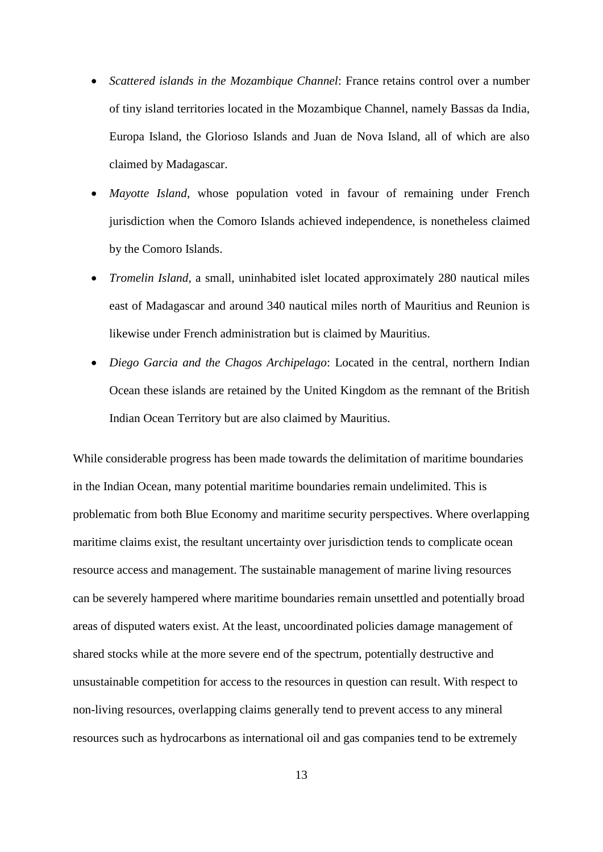- *Scattered islands in the Mozambique Channel*: France retains control over a number of tiny island territories located in the Mozambique Channel, namely Bassas da India, Europa Island, the Glorioso Islands and Juan de Nova Island, all of which are also claimed by Madagascar.
- *Mayotte Island*, whose population voted in favour of remaining under French jurisdiction when the Comoro Islands achieved independence, is nonetheless claimed by the Comoro Islands.
- *Tromelin Island*, a small, uninhabited islet located approximately 280 nautical miles east of Madagascar and around 340 nautical miles north of Mauritius and Reunion is likewise under French administration but is claimed by Mauritius.
- *Diego Garcia and the Chagos Archipelago*: Located in the central, northern Indian Ocean these islands are retained by the United Kingdom as the remnant of the British Indian Ocean Territory but are also claimed by Mauritius.

While considerable progress has been made towards the delimitation of maritime boundaries in the Indian Ocean, many potential maritime boundaries remain undelimited. This is problematic from both Blue Economy and maritime security perspectives. Where overlapping maritime claims exist, the resultant uncertainty over jurisdiction tends to complicate ocean resource access and management. The sustainable management of marine living resources can be severely hampered where maritime boundaries remain unsettled and potentially broad areas of disputed waters exist. At the least, uncoordinated policies damage management of shared stocks while at the more severe end of the spectrum, potentially destructive and unsustainable competition for access to the resources in question can result. With respect to non-living resources, overlapping claims generally tend to prevent access to any mineral resources such as hydrocarbons as international oil and gas companies tend to be extremely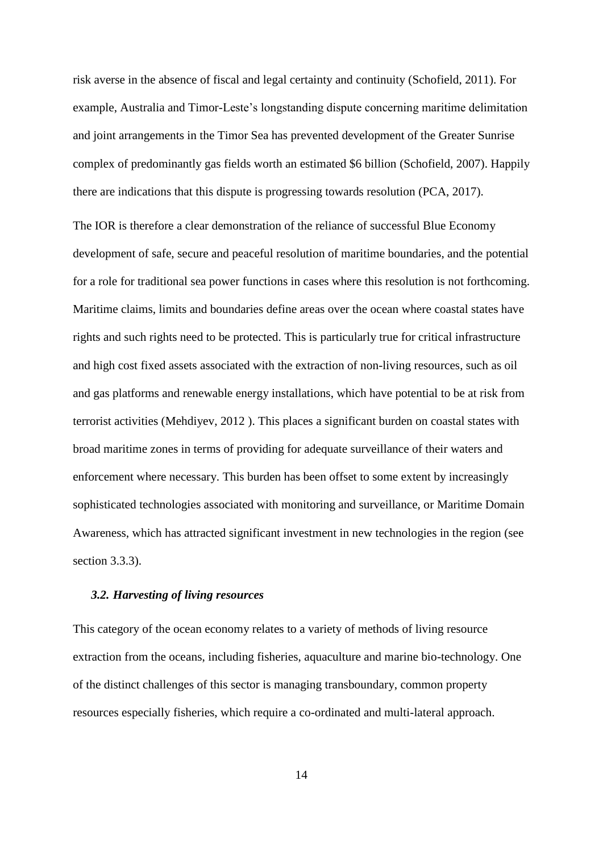risk averse in the absence of fiscal and legal certainty and continuity (Schofield, 2011). For example, Australia and Timor-Leste's longstanding dispute concerning maritime delimitation and joint arrangements in the Timor Sea has prevented development of the Greater Sunrise complex of predominantly gas fields worth an estimated \$6 billion (Schofield, 2007). Happily there are indications that this dispute is progressing towards resolution (PCA, 2017).

The IOR is therefore a clear demonstration of the reliance of successful Blue Economy development of safe, secure and peaceful resolution of maritime boundaries, and the potential for a role for traditional sea power functions in cases where this resolution is not forthcoming. Maritime claims, limits and boundaries define areas over the ocean where coastal states have rights and such rights need to be protected. This is particularly true for critical infrastructure and high cost fixed assets associated with the extraction of non-living resources, such as oil and gas platforms and renewable energy installations, which have potential to be at risk from terrorist activities (Mehdiyev, 2012 ). This places a significant burden on coastal states with broad maritime zones in terms of providing for adequate surveillance of their waters and enforcement where necessary. This burden has been offset to some extent by increasingly sophisticated technologies associated with monitoring and surveillance, or Maritime Domain Awareness, which has attracted significant investment in new technologies in the region (see section 3.3.3).

#### *3.2. Harvesting of living resources*

This category of the ocean economy relates to a variety of methods of living resource extraction from the oceans, including fisheries, aquaculture and marine bio-technology. One of the distinct challenges of this sector is managing transboundary, common property resources especially fisheries, which require a co-ordinated and multi-lateral approach.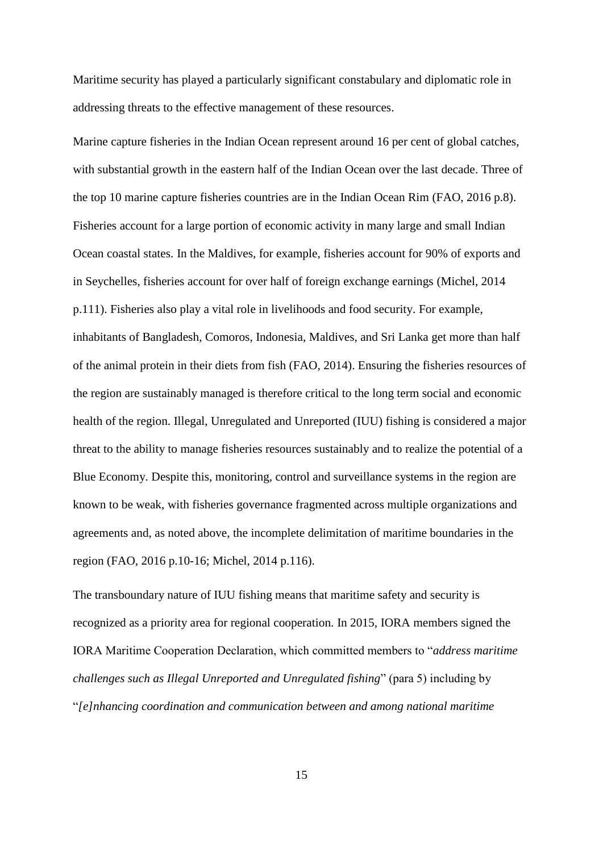Maritime security has played a particularly significant constabulary and diplomatic role in addressing threats to the effective management of these resources.

Marine capture fisheries in the Indian Ocean represent around 16 per cent of global catches, with substantial growth in the eastern half of the Indian Ocean over the last decade. Three of the top 10 marine capture fisheries countries are in the Indian Ocean Rim (FAO, 2016 p.8). Fisheries account for a large portion of economic activity in many large and small Indian Ocean coastal states. In the Maldives, for example, fisheries account for 90% of exports and in Seychelles, fisheries account for over half of foreign exchange earnings (Michel, 2014 p.111). Fisheries also play a vital role in livelihoods and food security. For example, inhabitants of Bangladesh, Comoros, Indonesia, Maldives, and Sri Lanka get more than half of the animal protein in their diets from fish (FAO, 2014). Ensuring the fisheries resources of the region are sustainably managed is therefore critical to the long term social and economic health of the region. Illegal, Unregulated and Unreported (IUU) fishing is considered a major threat to the ability to manage fisheries resources sustainably and to realize the potential of a Blue Economy. Despite this, monitoring, control and surveillance systems in the region are known to be weak, with fisheries governance fragmented across multiple organizations and agreements and, as noted above, the incomplete delimitation of maritime boundaries in the region (FAO, 2016 p.10-16; Michel, 2014 p.116).

The transboundary nature of IUU fishing means that maritime safety and security is recognized as a priority area for regional cooperation. In 2015, IORA members signed the IORA Maritime Cooperation Declaration, which committed members to "*address maritime challenges such as Illegal Unreported and Unregulated fishing*" (para 5) including by "*[e]nhancing coordination and communication between and among national maritime*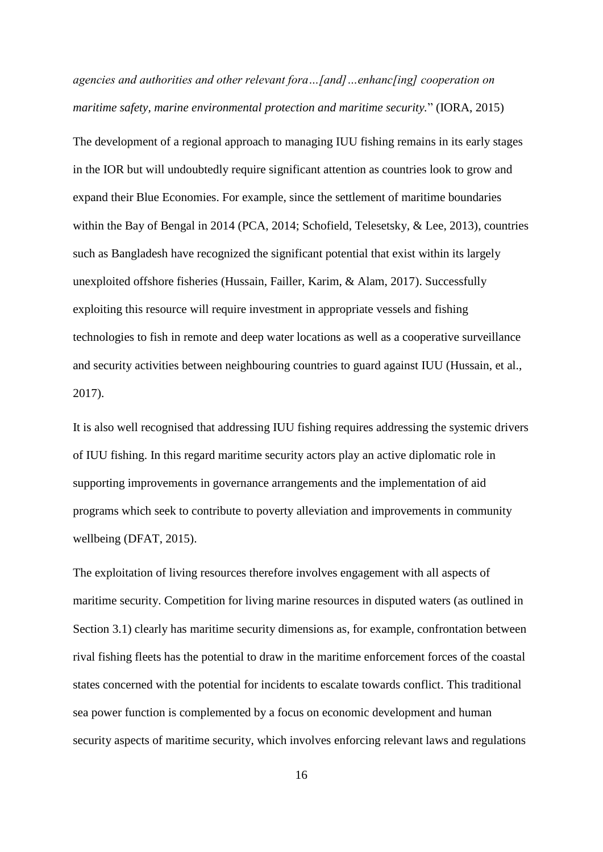*agencies and authorities and other relevant fora…[and]…enhanc[ing] cooperation on maritime safety, marine environmental protection and maritime security.*" (IORA, 2015)

The development of a regional approach to managing IUU fishing remains in its early stages in the IOR but will undoubtedly require significant attention as countries look to grow and expand their Blue Economies. For example, since the settlement of maritime boundaries within the Bay of Bengal in 2014 (PCA, 2014; Schofield, Telesetsky, & Lee, 2013), countries such as Bangladesh have recognized the significant potential that exist within its largely unexploited offshore fisheries (Hussain, Failler, Karim, & Alam, 2017). Successfully exploiting this resource will require investment in appropriate vessels and fishing technologies to fish in remote and deep water locations as well as a cooperative surveillance and security activities between neighbouring countries to guard against IUU (Hussain, et al., 2017).

It is also well recognised that addressing IUU fishing requires addressing the systemic drivers of IUU fishing. In this regard maritime security actors play an active diplomatic role in supporting improvements in governance arrangements and the implementation of aid programs which seek to contribute to poverty alleviation and improvements in community wellbeing (DFAT, 2015).

The exploitation of living resources therefore involves engagement with all aspects of maritime security. Competition for living marine resources in disputed waters (as outlined in Section 3.1) clearly has maritime security dimensions as, for example, confrontation between rival fishing fleets has the potential to draw in the maritime enforcement forces of the coastal states concerned with the potential for incidents to escalate towards conflict. This traditional sea power function is complemented by a focus on economic development and human security aspects of maritime security, which involves enforcing relevant laws and regulations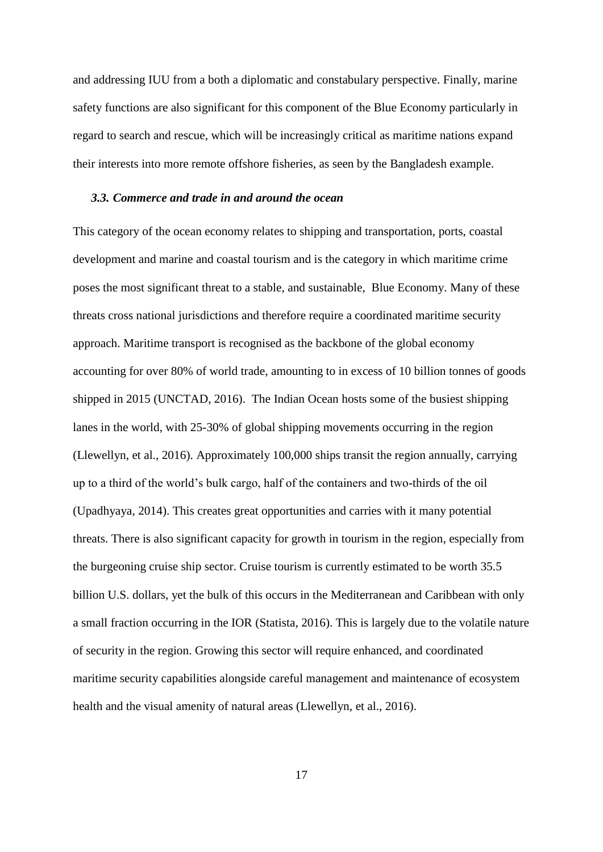and addressing IUU from a both a diplomatic and constabulary perspective. Finally, marine safety functions are also significant for this component of the Blue Economy particularly in regard to search and rescue, which will be increasingly critical as maritime nations expand their interests into more remote offshore fisheries, as seen by the Bangladesh example.

#### *3.3. Commerce and trade in and around the ocean*

This category of the ocean economy relates to shipping and transportation, ports, coastal development and marine and coastal tourism and is the category in which maritime crime poses the most significant threat to a stable, and sustainable, Blue Economy. Many of these threats cross national jurisdictions and therefore require a coordinated maritime security approach. Maritime transport is recognised as the backbone of the global economy accounting for over 80% of world trade, amounting to in excess of 10 billion tonnes of goods shipped in 2015 (UNCTAD, 2016). The Indian Ocean hosts some of the busiest shipping lanes in the world, with 25-30% of global shipping movements occurring in the region (Llewellyn, et al., 2016). Approximately 100,000 ships transit the region annually, carrying up to a third of the world's bulk cargo, half of the containers and two-thirds of the oil (Upadhyaya, 2014). This creates great opportunities and carries with it many potential threats. There is also significant capacity for growth in tourism in the region, especially from the burgeoning cruise ship sector. Cruise tourism is currently estimated to be worth 35.5 billion U.S. dollars, yet the bulk of this occurs in the Mediterranean and Caribbean with only a small fraction occurring in the IOR (Statista, 2016). This is largely due to the volatile nature of security in the region. Growing this sector will require enhanced, and coordinated maritime security capabilities alongside careful management and maintenance of ecosystem health and the visual amenity of natural areas (Llewellyn, et al., 2016).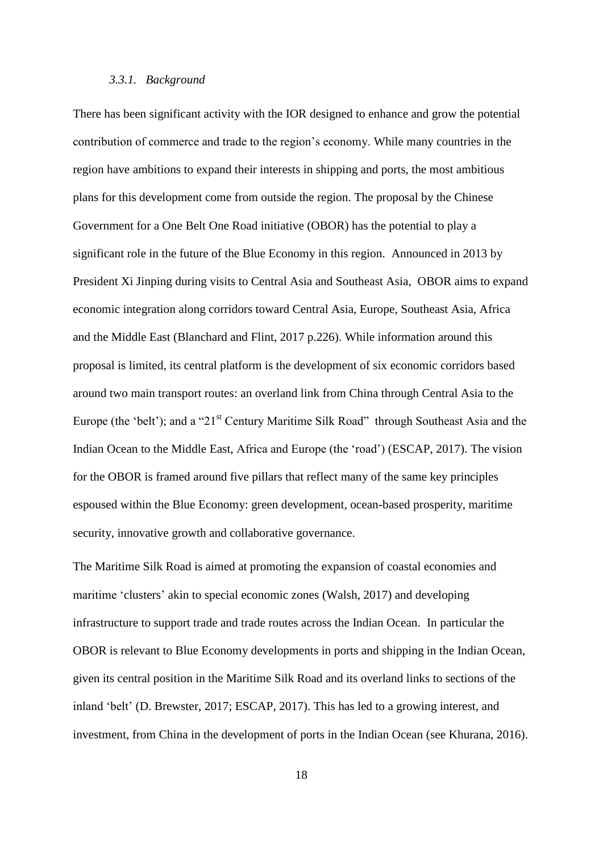### *3.3.1. Background*

There has been significant activity with the IOR designed to enhance and grow the potential contribution of commerce and trade to the region's economy. While many countries in the region have ambitions to expand their interests in shipping and ports, the most ambitious plans for this development come from outside the region. The proposal by the Chinese Government for a One Belt One Road initiative (OBOR) has the potential to play a significant role in the future of the Blue Economy in this region. Announced in 2013 by President Xi Jinping during visits to Central Asia and Southeast Asia, OBOR aims to expand economic integration along corridors toward Central Asia, Europe, Southeast Asia, Africa and the Middle East (Blanchard and Flint, 2017 p.226). While information around this proposal is limited, its central platform is the development of six economic corridors based around two main transport routes: an overland link from China through Central Asia to the Europe (the 'belt'); and a "21<sup>st</sup> Century Maritime Silk Road" through Southeast Asia and the Indian Ocean to the Middle East, Africa and Europe (the 'road') (ESCAP, 2017). The vision for the OBOR is framed around five pillars that reflect many of the same key principles espoused within the Blue Economy: green development, ocean-based prosperity, maritime security, innovative growth and collaborative governance.

The Maritime Silk Road is aimed at promoting the expansion of coastal economies and maritime 'clusters' akin to special economic zones (Walsh, 2017) and developing infrastructure to support trade and trade routes across the Indian Ocean. In particular the OBOR is relevant to Blue Economy developments in ports and shipping in the Indian Ocean, given its central position in the Maritime Silk Road and its overland links to sections of the inland 'belt' (D. Brewster, 2017; ESCAP, 2017). This has led to a growing interest, and investment, from China in the development of ports in the Indian Ocean (see Khurana, 2016).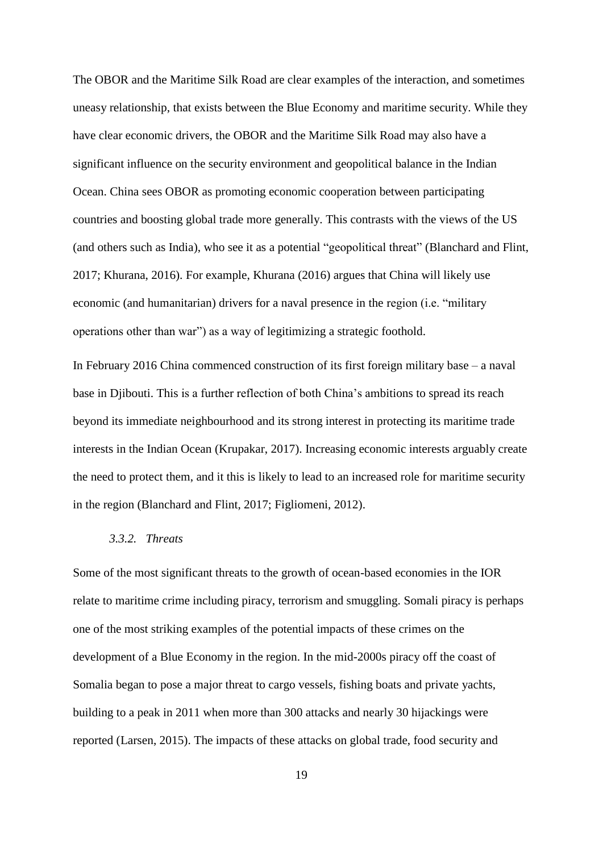The OBOR and the Maritime Silk Road are clear examples of the interaction, and sometimes uneasy relationship, that exists between the Blue Economy and maritime security. While they have clear economic drivers, the OBOR and the Maritime Silk Road may also have a significant influence on the security environment and geopolitical balance in the Indian Ocean. China sees OBOR as promoting economic cooperation between participating countries and boosting global trade more generally. This contrasts with the views of the US (and others such as India), who see it as a potential "geopolitical threat" (Blanchard and Flint, 2017; Khurana, 2016). For example, Khurana (2016) argues that China will likely use economic (and humanitarian) drivers for a naval presence in the region (i.e. "military operations other than war") as a way of legitimizing a strategic foothold.

In February 2016 China commenced construction of its first foreign military base – a naval base in Djibouti. This is a further reflection of both China's ambitions to spread its reach beyond its immediate neighbourhood and its strong interest in protecting its maritime trade interests in the Indian Ocean (Krupakar, 2017). Increasing economic interests arguably create the need to protect them, and it this is likely to lead to an increased role for maritime security in the region (Blanchard and Flint, 2017; Figliomeni, 2012).

# *3.3.2. Threats*

Some of the most significant threats to the growth of ocean-based economies in the IOR relate to maritime crime including piracy, terrorism and smuggling. Somali piracy is perhaps one of the most striking examples of the potential impacts of these crimes on the development of a Blue Economy in the region. In the mid-2000s piracy off the coast of Somalia began to pose a major threat to cargo vessels, fishing boats and private yachts, building to a peak in 2011 when more than 300 attacks and nearly 30 hijackings were reported (Larsen, 2015). The impacts of these attacks on global trade, food security and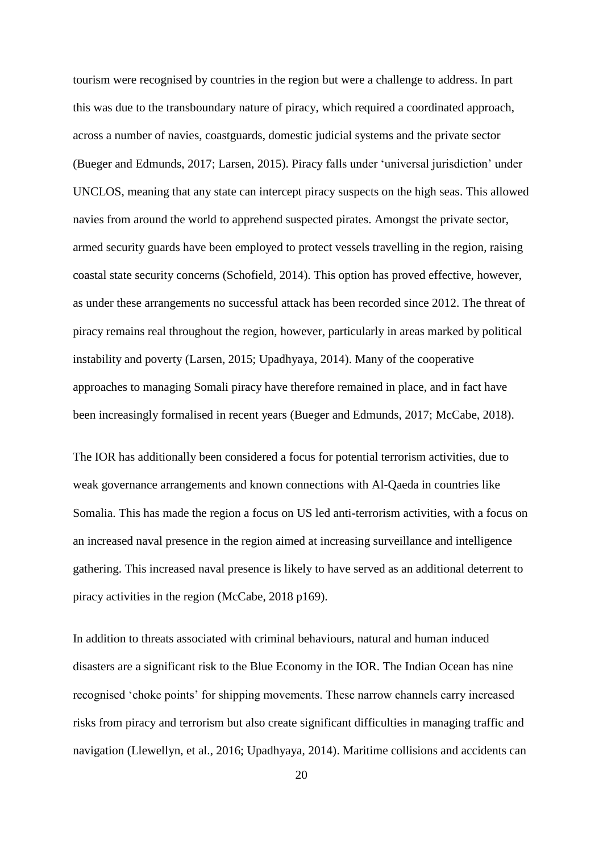tourism were recognised by countries in the region but were a challenge to address. In part this was due to the transboundary nature of piracy, which required a coordinated approach, across a number of navies, coastguards, domestic judicial systems and the private sector (Bueger and Edmunds, 2017; Larsen, 2015). Piracy falls under 'universal jurisdiction' under UNCLOS, meaning that any state can intercept piracy suspects on the high seas. This allowed navies from around the world to apprehend suspected pirates. Amongst the private sector, armed security guards have been employed to protect vessels travelling in the region, raising coastal state security concerns (Schofield, 2014). This option has proved effective, however, as under these arrangements no successful attack has been recorded since 2012. The threat of piracy remains real throughout the region, however, particularly in areas marked by political instability and poverty (Larsen, 2015; Upadhyaya, 2014). Many of the cooperative approaches to managing Somali piracy have therefore remained in place, and in fact have been increasingly formalised in recent years (Bueger and Edmunds, 2017; McCabe, 2018).

The IOR has additionally been considered a focus for potential terrorism activities, due to weak governance arrangements and known connections with Al-Qaeda in countries like Somalia. This has made the region a focus on US led anti-terrorism activities, with a focus on an increased naval presence in the region aimed at increasing surveillance and intelligence gathering. This increased naval presence is likely to have served as an additional deterrent to piracy activities in the region (McCabe, 2018 p169).

In addition to threats associated with criminal behaviours, natural and human induced disasters are a significant risk to the Blue Economy in the IOR. The Indian Ocean has nine recognised 'choke points' for shipping movements. These narrow channels carry increased risks from piracy and terrorism but also create significant difficulties in managing traffic and navigation (Llewellyn, et al., 2016; Upadhyaya, 2014). Maritime collisions and accidents can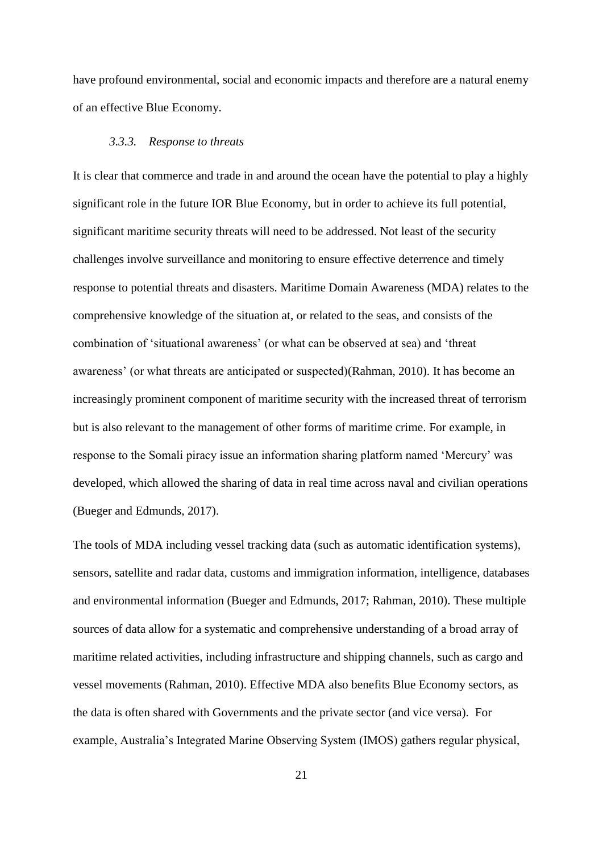have profound environmental, social and economic impacts and therefore are a natural enemy of an effective Blue Economy.

#### *3.3.3. Response to threats*

It is clear that commerce and trade in and around the ocean have the potential to play a highly significant role in the future IOR Blue Economy, but in order to achieve its full potential, significant maritime security threats will need to be addressed. Not least of the security challenges involve surveillance and monitoring to ensure effective deterrence and timely response to potential threats and disasters. Maritime Domain Awareness (MDA) relates to the comprehensive knowledge of the situation at, or related to the seas, and consists of the combination of 'situational awareness' (or what can be observed at sea) and 'threat awareness' (or what threats are anticipated or suspected)(Rahman, 2010). It has become an increasingly prominent component of maritime security with the increased threat of terrorism but is also relevant to the management of other forms of maritime crime. For example, in response to the Somali piracy issue an information sharing platform named 'Mercury' was developed, which allowed the sharing of data in real time across naval and civilian operations (Bueger and Edmunds, 2017).

The tools of MDA including vessel tracking data (such as automatic identification systems), sensors, satellite and radar data, customs and immigration information, intelligence, databases and environmental information (Bueger and Edmunds, 2017; Rahman, 2010). These multiple sources of data allow for a systematic and comprehensive understanding of a broad array of maritime related activities, including infrastructure and shipping channels, such as cargo and vessel movements (Rahman, 2010). Effective MDA also benefits Blue Economy sectors, as the data is often shared with Governments and the private sector (and vice versa). For example, Australia's Integrated Marine Observing System (IMOS) gathers regular physical,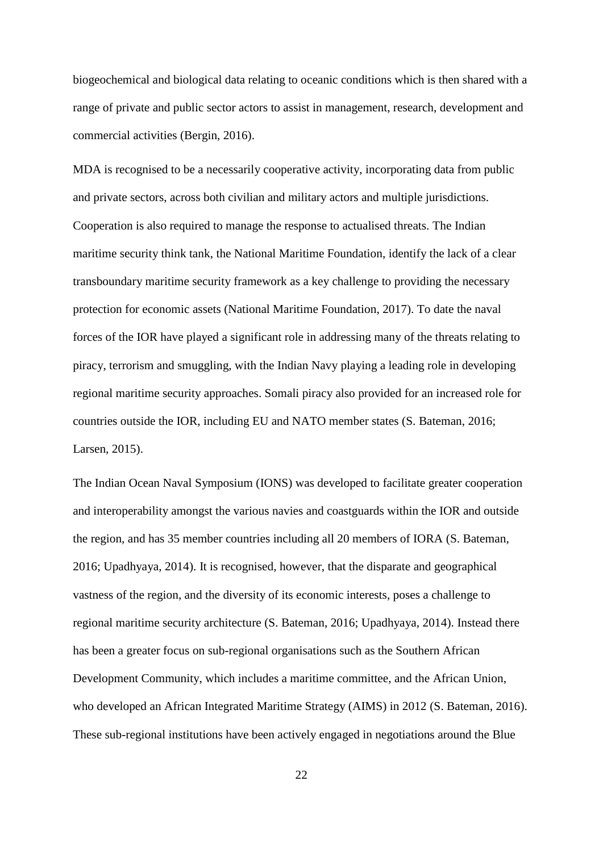biogeochemical and biological data relating to oceanic conditions which is then shared with a range of private and public sector actors to assist in management, research, development and commercial activities (Bergin, 2016).

MDA is recognised to be a necessarily cooperative activity, incorporating data from public and private sectors, across both civilian and military actors and multiple jurisdictions. Cooperation is also required to manage the response to actualised threats. The Indian maritime security think tank, the National Maritime Foundation, identify the lack of a clear transboundary maritime security framework as a key challenge to providing the necessary protection for economic assets (National Maritime Foundation, 2017). To date the naval forces of the IOR have played a significant role in addressing many of the threats relating to piracy, terrorism and smuggling, with the Indian Navy playing a leading role in developing regional maritime security approaches. Somali piracy also provided for an increased role for countries outside the IOR, including EU and NATO member states (S. Bateman, 2016; Larsen, 2015).

The Indian Ocean Naval Symposium (IONS) was developed to facilitate greater cooperation and interoperability amongst the various navies and coastguards within the IOR and outside the region, and has 35 member countries including all 20 members of IORA (S. Bateman, 2016; Upadhyaya, 2014). It is recognised, however, that the disparate and geographical vastness of the region, and the diversity of its economic interests, poses a challenge to regional maritime security architecture (S. Bateman, 2016; Upadhyaya, 2014). Instead there has been a greater focus on sub-regional organisations such as the Southern African Development Community, which includes a maritime committee, and the African Union, who developed an African Integrated Maritime Strategy (AIMS) in 2012 (S. Bateman, 2016). These sub-regional institutions have been actively engaged in negotiations around the Blue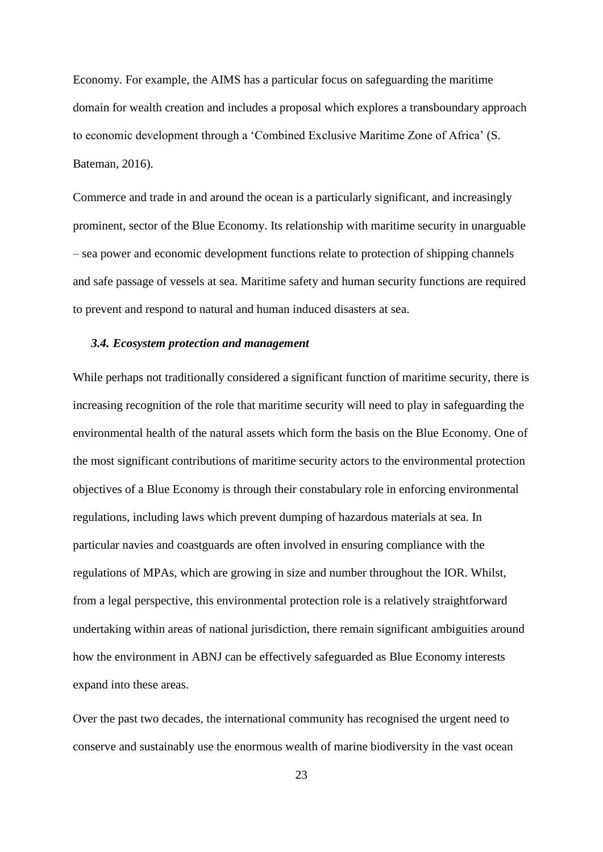Economy. For example, the AIMS has a particular focus on safeguarding the maritime domain for wealth creation and includes a proposal which explores a transboundary approach to economic development through a 'Combined Exclusive Maritime Zone of Africa' (S. Bateman, 2016).

Commerce and trade in and around the ocean is a particularly significant, and increasingly prominent, sector of the Blue Economy. Its relationship with maritime security in unarguable – sea power and economic development functions relate to protection of shipping channels and safe passage of vessels at sea. Maritime safety and human security functions are required to prevent and respond to natural and human induced disasters at sea.

#### *3.4. Ecosystem protection and management*

While perhaps not traditionally considered a significant function of maritime security, there is increasing recognition of the role that maritime security will need to play in safeguarding the environmental health of the natural assets which form the basis on the Blue Economy. One of the most significant contributions of maritime security actors to the environmental protection objectives of a Blue Economy is through their constabulary role in enforcing environmental regulations, including laws which prevent dumping of hazardous materials at sea. In particular navies and coastguards are often involved in ensuring compliance with the regulations of MPAs, which are growing in size and number throughout the IOR. Whilst, from a legal perspective, this environmental protection role is a relatively straightforward undertaking within areas of national jurisdiction, there remain significant ambiguities around how the environment in ABNJ can be effectively safeguarded as Blue Economy interests expand into these areas.

Over the past two decades, the international community has recognised the urgent need to conserve and sustainably use the enormous wealth of marine biodiversity in the vast ocean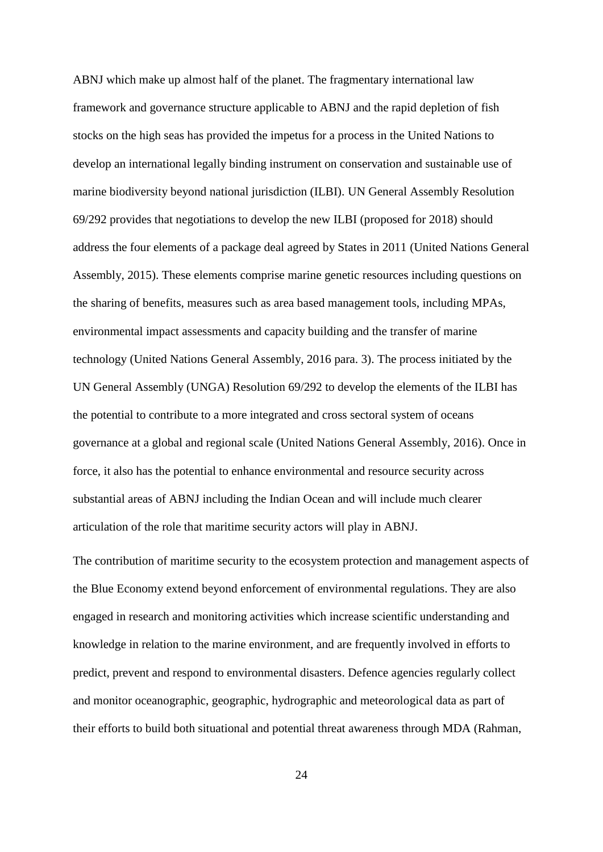ABNJ which make up almost half of the planet. The fragmentary international law framework and governance structure applicable to ABNJ and the rapid depletion of fish stocks on the high seas has provided the impetus for a process in the United Nations to develop an international legally binding instrument on conservation and sustainable use of marine biodiversity beyond national jurisdiction (ILBI). UN General Assembly Resolution 69/292 provides that negotiations to develop the new ILBI (proposed for 2018) should address the four elements of a package deal agreed by States in 2011 (United Nations General Assembly, 2015). These elements comprise marine genetic resources including questions on the sharing of benefits, measures such as area based management tools, including MPAs, environmental impact assessments and capacity building and the transfer of marine technology (United Nations General Assembly, 2016 para. 3). The process initiated by the UN General Assembly (UNGA) Resolution 69/292 to develop the elements of the ILBI has the potential to contribute to a more integrated and cross sectoral system of oceans governance at a global and regional scale (United Nations General Assembly, 2016). Once in force, it also has the potential to enhance environmental and resource security across substantial areas of ABNJ including the Indian Ocean and will include much clearer articulation of the role that maritime security actors will play in ABNJ.

The contribution of maritime security to the ecosystem protection and management aspects of the Blue Economy extend beyond enforcement of environmental regulations. They are also engaged in research and monitoring activities which increase scientific understanding and knowledge in relation to the marine environment, and are frequently involved in efforts to predict, prevent and respond to environmental disasters. Defence agencies regularly collect and monitor oceanographic, geographic, hydrographic and meteorological data as part of their efforts to build both situational and potential threat awareness through MDA (Rahman,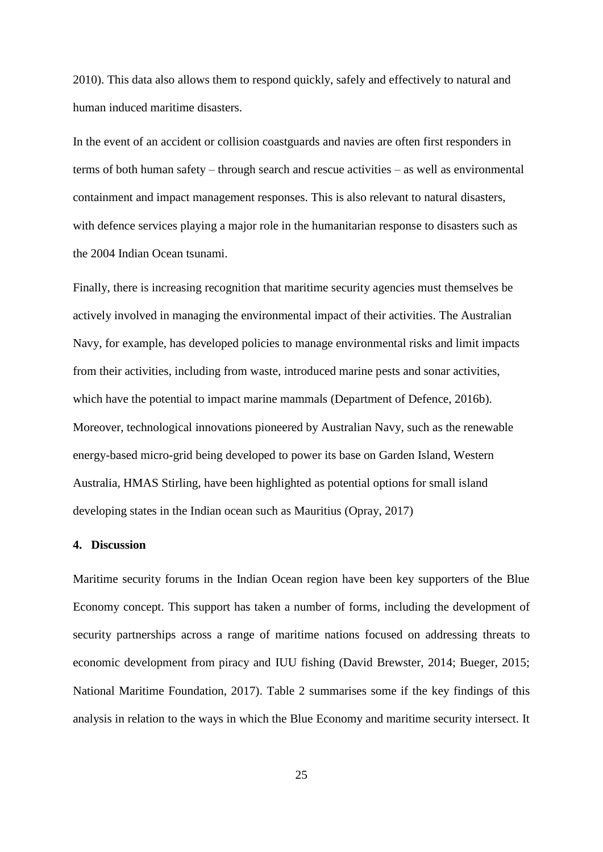2010). This data also allows them to respond quickly, safely and effectively to natural and human induced maritime disasters.

In the event of an accident or collision coastguards and navies are often first responders in terms of both human safety – through search and rescue activities – as well as environmental containment and impact management responses. This is also relevant to natural disasters, with defence services playing a major role in the humanitarian response to disasters such as the 2004 Indian Ocean tsunami.

Finally, there is increasing recognition that maritime security agencies must themselves be actively involved in managing the environmental impact of their activities. The Australian Navy, for example, has developed policies to manage environmental risks and limit impacts from their activities, including from waste, introduced marine pests and sonar activities, which have the potential to impact marine mammals (Department of Defence, 2016b). Moreover, technological innovations pioneered by Australian Navy, such as the renewable energy-based micro-grid being developed to power its base on Garden Island, Western Australia, HMAS Stirling, have been highlighted as potential options for small island developing states in the Indian ocean such as Mauritius (Opray, 2017)

#### **4. Discussion**

Maritime security forums in the Indian Ocean region have been key supporters of the Blue Economy concept. This support has taken a number of forms, including the development of security partnerships across a range of maritime nations focused on addressing threats to economic development from piracy and IUU fishing (David Brewster, 2014; Bueger, 2015; National Maritime Foundation, 2017). Table 2 summarises some if the key findings of this analysis in relation to the ways in which the Blue Economy and maritime security intersect. It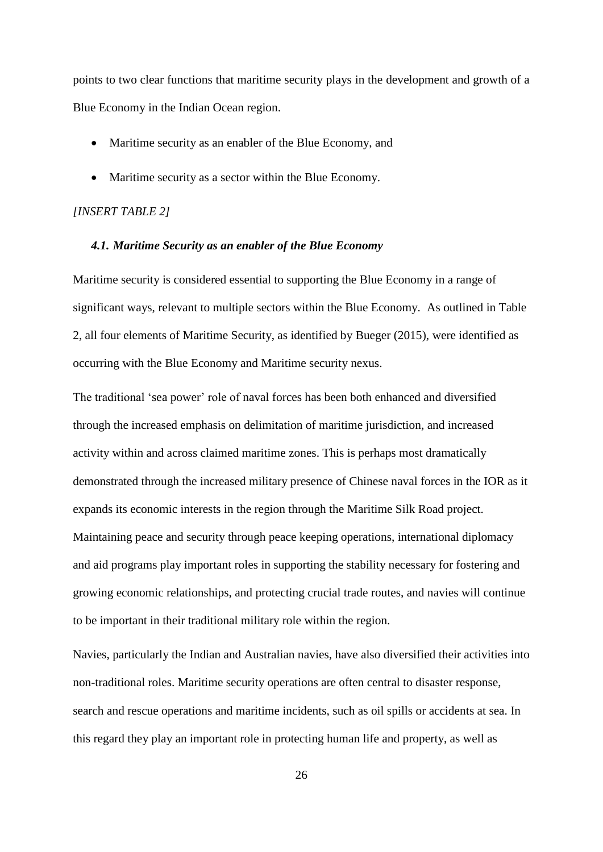points to two clear functions that maritime security plays in the development and growth of a Blue Economy in the Indian Ocean region.

- Maritime security as an enabler of the Blue Economy, and
- Maritime security as a sector within the Blue Economy.

#### *[INSERT TABLE 2]*

#### *4.1. Maritime Security as an enabler of the Blue Economy*

Maritime security is considered essential to supporting the Blue Economy in a range of significant ways, relevant to multiple sectors within the Blue Economy. As outlined in Table 2, all four elements of Maritime Security, as identified by Bueger (2015), were identified as occurring with the Blue Economy and Maritime security nexus.

The traditional 'sea power' role of naval forces has been both enhanced and diversified through the increased emphasis on delimitation of maritime jurisdiction, and increased activity within and across claimed maritime zones. This is perhaps most dramatically demonstrated through the increased military presence of Chinese naval forces in the IOR as it expands its economic interests in the region through the Maritime Silk Road project. Maintaining peace and security through peace keeping operations, international diplomacy and aid programs play important roles in supporting the stability necessary for fostering and growing economic relationships, and protecting crucial trade routes, and navies will continue to be important in their traditional military role within the region.

Navies, particularly the Indian and Australian navies, have also diversified their activities into non-traditional roles. Maritime security operations are often central to disaster response, search and rescue operations and maritime incidents, such as oil spills or accidents at sea. In this regard they play an important role in protecting human life and property, as well as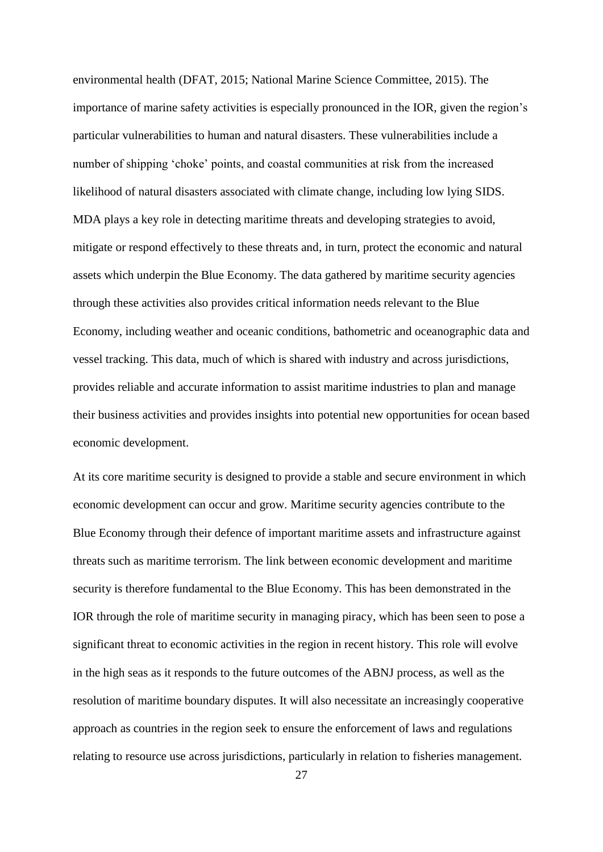environmental health (DFAT, 2015; National Marine Science Committee, 2015). The importance of marine safety activities is especially pronounced in the IOR, given the region's particular vulnerabilities to human and natural disasters. These vulnerabilities include a number of shipping 'choke' points, and coastal communities at risk from the increased likelihood of natural disasters associated with climate change, including low lying SIDS. MDA plays a key role in detecting maritime threats and developing strategies to avoid, mitigate or respond effectively to these threats and, in turn, protect the economic and natural assets which underpin the Blue Economy. The data gathered by maritime security agencies through these activities also provides critical information needs relevant to the Blue Economy, including weather and oceanic conditions, bathometric and oceanographic data and vessel tracking. This data, much of which is shared with industry and across jurisdictions, provides reliable and accurate information to assist maritime industries to plan and manage their business activities and provides insights into potential new opportunities for ocean based economic development.

At its core maritime security is designed to provide a stable and secure environment in which economic development can occur and grow. Maritime security agencies contribute to the Blue Economy through their defence of important maritime assets and infrastructure against threats such as maritime terrorism. The link between economic development and maritime security is therefore fundamental to the Blue Economy. This has been demonstrated in the IOR through the role of maritime security in managing piracy, which has been seen to pose a significant threat to economic activities in the region in recent history. This role will evolve in the high seas as it responds to the future outcomes of the ABNJ process, as well as the resolution of maritime boundary disputes. It will also necessitate an increasingly cooperative approach as countries in the region seek to ensure the enforcement of laws and regulations relating to resource use across jurisdictions, particularly in relation to fisheries management.

27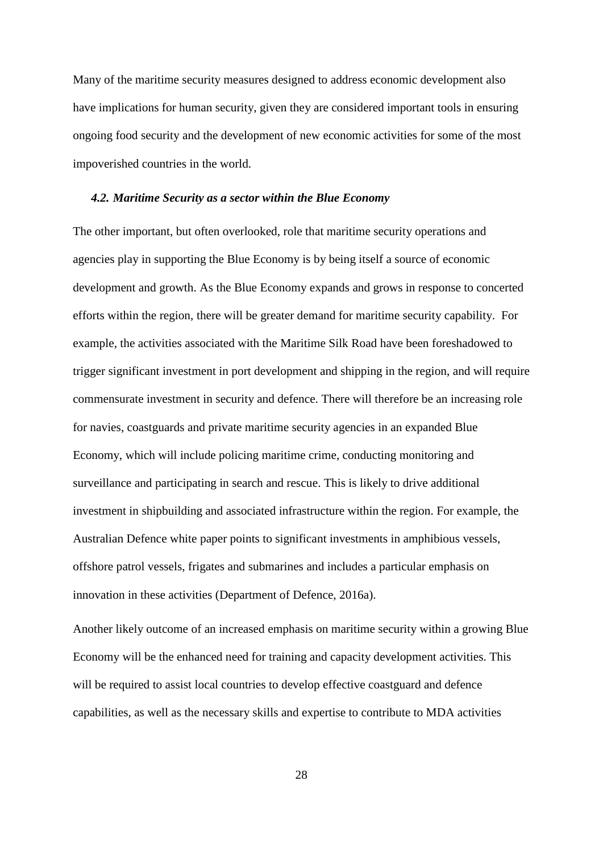Many of the maritime security measures designed to address economic development also have implications for human security, given they are considered important tools in ensuring ongoing food security and the development of new economic activities for some of the most impoverished countries in the world.

#### *4.2. Maritime Security as a sector within the Blue Economy*

The other important, but often overlooked, role that maritime security operations and agencies play in supporting the Blue Economy is by being itself a source of economic development and growth. As the Blue Economy expands and grows in response to concerted efforts within the region, there will be greater demand for maritime security capability. For example, the activities associated with the Maritime Silk Road have been foreshadowed to trigger significant investment in port development and shipping in the region, and will require commensurate investment in security and defence. There will therefore be an increasing role for navies, coastguards and private maritime security agencies in an expanded Blue Economy, which will include policing maritime crime, conducting monitoring and surveillance and participating in search and rescue. This is likely to drive additional investment in shipbuilding and associated infrastructure within the region. For example, the Australian Defence white paper points to significant investments in amphibious vessels, offshore patrol vessels, frigates and submarines and includes a particular emphasis on innovation in these activities (Department of Defence, 2016a).

Another likely outcome of an increased emphasis on maritime security within a growing Blue Economy will be the enhanced need for training and capacity development activities. This will be required to assist local countries to develop effective coastguard and defence capabilities, as well as the necessary skills and expertise to contribute to MDA activities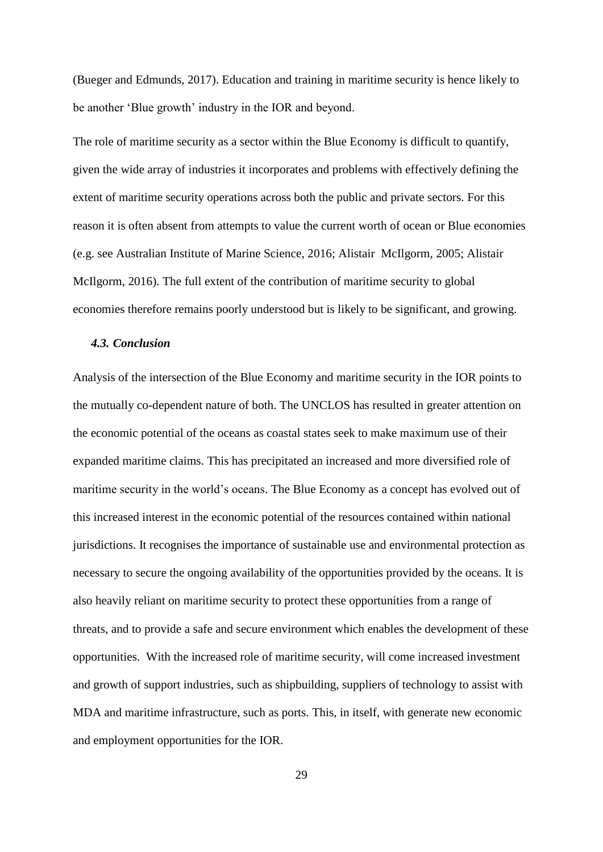(Bueger and Edmunds, 2017). Education and training in maritime security is hence likely to be another 'Blue growth' industry in the IOR and beyond.

The role of maritime security as a sector within the Blue Economy is difficult to quantify, given the wide array of industries it incorporates and problems with effectively defining the extent of maritime security operations across both the public and private sectors. For this reason it is often absent from attempts to value the current worth of ocean or Blue economies (e.g. see Australian Institute of Marine Science, 2016; Alistair McIlgorm, 2005; Alistair McIlgorm, 2016). The full extent of the contribution of maritime security to global economies therefore remains poorly understood but is likely to be significant, and growing.

#### *4.3. Conclusion*

Analysis of the intersection of the Blue Economy and maritime security in the IOR points to the mutually co-dependent nature of both. The UNCLOS has resulted in greater attention on the economic potential of the oceans as coastal states seek to make maximum use of their expanded maritime claims. This has precipitated an increased and more diversified role of maritime security in the world's oceans. The Blue Economy as a concept has evolved out of this increased interest in the economic potential of the resources contained within national jurisdictions. It recognises the importance of sustainable use and environmental protection as necessary to secure the ongoing availability of the opportunities provided by the oceans. It is also heavily reliant on maritime security to protect these opportunities from a range of threats, and to provide a safe and secure environment which enables the development of these opportunities. With the increased role of maritime security, will come increased investment and growth of support industries, such as shipbuilding, suppliers of technology to assist with MDA and maritime infrastructure, such as ports. This, in itself, with generate new economic and employment opportunities for the IOR.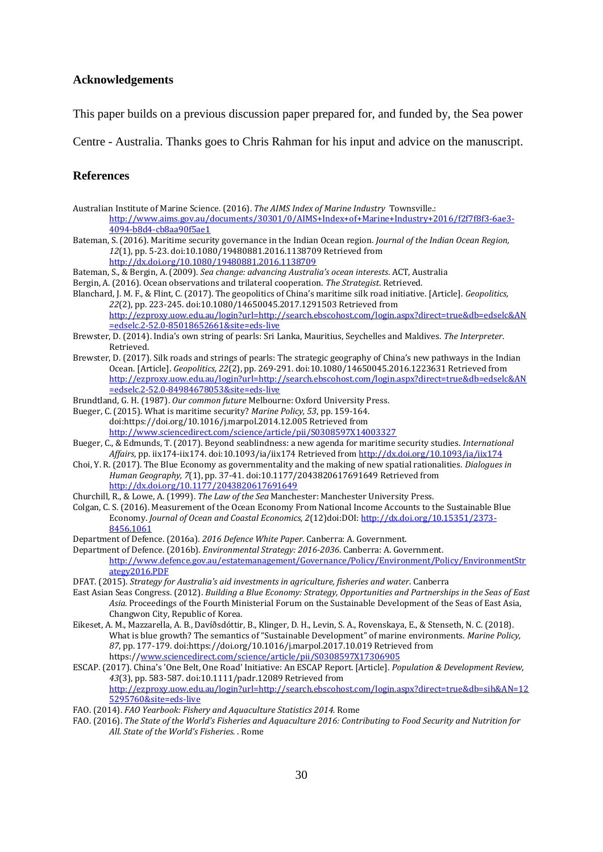#### **Acknowledgements**

This paper builds on a previous discussion paper prepared for, and funded by, the Sea power

Centre - Australia. Thanks goes to Chris Rahman for his input and advice on the manuscript.

#### **References**

- Australian Institute of Marine Science. (2016). *The AIMS Index of Marine Industry* Townsville.: [http://www.aims.gov.au/documents/30301/0/AIMS+Index+of+Marine+Industry+2016/f2f7f8f3-6ae3-](http://www.aims.gov.au/documents/30301/0/AIMS+Index+of+Marine+Industry+2016/f2f7f8f3-6ae3-4094-b8d4-cb8aa90f5ae1) [4094-b8d4-cb8aa90f5ae1](http://www.aims.gov.au/documents/30301/0/AIMS+Index+of+Marine+Industry+2016/f2f7f8f3-6ae3-4094-b8d4-cb8aa90f5ae1)
- Bateman, S. (2016). Maritime security governance in the Indian Ocean region. *Journal of the Indian Ocean Region, 12*(1), pp. 5-23. doi:10.1080/19480881.2016.1138709 Retrieved from <http://dx.doi.org/10.1080/19480881.2016.1138709>

Bateman, S., & Bergin, A. (2009). *Sea change: advancing Australia's ocean interests*. ACT, Australia

Bergin, A. (2016). Ocean observations and trilateral cooperation. *The Strategist*. Retrieved.

- Blanchard, J. M. F., & Flint, C. (2017). The geopolitics of China's maritime silk road initiative. [Article]. *Geopolitics, 22*(2), pp. 223-245. doi:10.1080/14650045.2017.1291503 Retrieved from [http://ezproxy.uow.edu.au/login?url=http://search.ebscohost.com/login.aspx?direct=true&db=edselc&AN](http://ezproxy.uow.edu.au/login?url=http://search.ebscohost.com/login.aspx?direct=true&db=edselc&AN=edselc.2-52.0-85018652661&site=eds-live) [=edselc.2-52.0-85018652661&site=eds-live](http://ezproxy.uow.edu.au/login?url=http://search.ebscohost.com/login.aspx?direct=true&db=edselc&AN=edselc.2-52.0-85018652661&site=eds-live)
- Brewster, D. (2014). India's own string of pearls: Sri Lanka, Mauritius, Seychelles and Maldives. *The Interpreter*. Retrieved.
- Brewster, D. (2017). Silk roads and strings of pearls: The strategic geography of China's new pathways in the Indian Ocean. [Article]. *Geopolitics, 22*(2), pp. 269-291. doi:10.1080/14650045.2016.1223631 Retrieved from [http://ezproxy.uow.edu.au/login?url=http://search.ebscohost.com/login.aspx?direct=true&db=edselc&AN](http://ezproxy.uow.edu.au/login?url=http://search.ebscohost.com/login.aspx?direct=true&db=edselc&AN=edselc.2-52.0-84984678053&site=eds-live) [=edselc.2-52.0-84984678053&site=eds-live](http://ezproxy.uow.edu.au/login?url=http://search.ebscohost.com/login.aspx?direct=true&db=edselc&AN=edselc.2-52.0-84984678053&site=eds-live)
- Brundtland, G. H. (1987). *Our common future* Melbourne: Oxford University Press.
- Bueger, C. (2015). What is maritime security? *Marine Policy, 53*, pp. 159-164. doi:https://doi.org/10.1016/j.marpol.2014.12.005 Retrieved from <http://www.sciencedirect.com/science/article/pii/S0308597X14003327>
- Bueger, C., & Edmunds, T. (2017). Beyond seablindness: a new agenda for maritime security studies. *International Affairs*, pp. iix174-iix174. doi:10.1093/ia/iix174 Retrieved fro[m http://dx.doi.org/10.1093/ia/iix174](http://dx.doi.org/10.1093/ia/iix174)
- Choi, Y. R. (2017). The Blue Economy as governmentality and the making of new spatial rationalities. *Dialogues in Human Geography, 7*(1), pp. 37-41. doi:10.1177/2043820617691649 Retrieved from <http://dx.doi.org/10.1177/2043820617691649>
- Churchill, R., & Lowe, A. (1999). *The Law of the Sea* Manchester: Manchester University Press.
- Colgan, C. S. (2016). Measurement of the Ocean Economy From National Income Accounts to the Sustainable Blue Economy. *Journal of Ocean and Coastal Economics, 2*(12)doi:DOI[: http://dx.doi.org/10.15351/2373-](http://dx.doi.org/10.15351/2373-8456.1061) [8456.1061](http://dx.doi.org/10.15351/2373-8456.1061)
- Department of Defence. (2016a). *2016 Defence White Paper*. Canberra: A. Government.

Department of Defence. (2016b). *Environmental Strategy: 2016-2036*. Canberra: A. Government. [http://www.defence.gov.au/estatemanagement/Governance/Policy/Environment/Policy/EnvironmentStr](http://www.defence.gov.au/estatemanagement/Governance/Policy/Environment/Policy/EnvironmentStrategy2016.PDF) [ategy2016.PDF](http://www.defence.gov.au/estatemanagement/Governance/Policy/Environment/Policy/EnvironmentStrategy2016.PDF)

- DFAT. (2015). *Strategy for Australia's aid investments in agriculture, fisheries and water*. Canberra
- East Asian Seas Congress. (2012). *Building a Blue Economy: Strategy, Opportunities and Partnerships in the Seas of East Asia.* Proceedings of the Fourth Ministerial Forum on the Sustainable Development of the Seas of East Asia, Changwon City, Republic of Korea.
- Eikeset, A. M., Mazzarella, A. B., Davíðsdóttir, B., Klinger, D. H., Levin, S. A., Rovenskaya, E., & Stenseth, N. C. (2018). What is blue growth? The semantics of "Sustainable Development" of marine environments. *Marine Policy, 87*, pp. 177-179. doi:https://doi.org/10.1016/j.marpol.2017.10.019 Retrieved from https:/[/www.sciencedirect.com/science/article/pii/S0308597X17306905](http://www.sciencedirect.com/science/article/pii/S0308597X17306905)
- ESCAP. (2017). China's 'One Belt, One Road' Initiative: An ESCAP Report. [Article]. *Population & Development Review, 43*(3), pp. 583-587. doi:10.1111/padr.12089 Retrieved from [http://ezproxy.uow.edu.au/login?url=http://search.ebscohost.com/login.aspx?direct=true&db=sih&AN=12](http://ezproxy.uow.edu.au/login?url=http://search.ebscohost.com/login.aspx?direct=true&db=sih&AN=125295760&site=eds-live) [5295760&site=eds-live](http://ezproxy.uow.edu.au/login?url=http://search.ebscohost.com/login.aspx?direct=true&db=sih&AN=125295760&site=eds-live)
- FAO. (2014). *FAO Yearbook: Fishery and Aquaculture Statistics 2014.* Rome
- FAO. (2016). *The State of the World's Fisheries and Aquaculture 2016: Contributing to Food Security and Nutrition for All. State of the World's Fisheries.* . Rome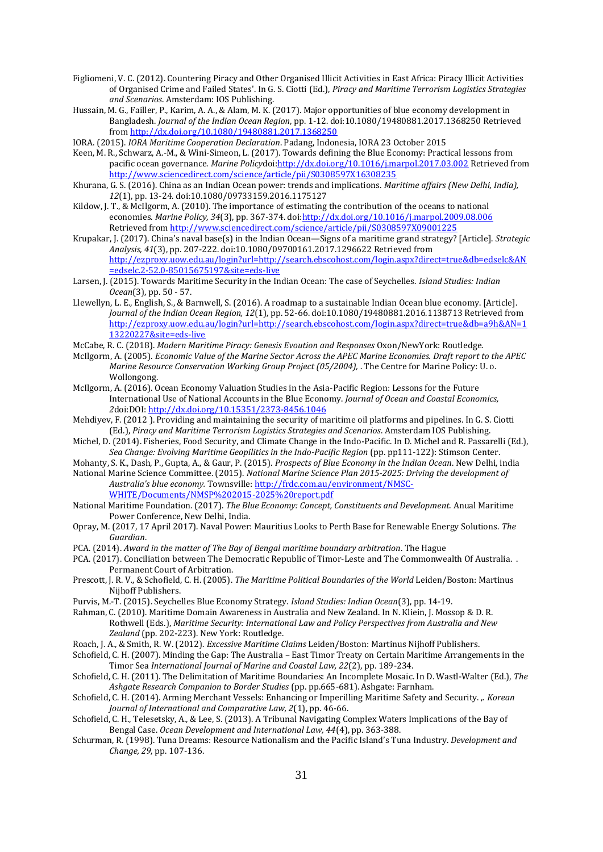- Figliomeni, V. C. (2012). Countering Piracy and Other Organised Illicit Activities in East Africa: Piracy Illicit Activities of Organised Crime and Failed States'. In G. S. Ciotti (Ed.), *Piracy and Maritime Terrorism Logistics Strategies and Scenarios*. Amsterdam: IOS Publishing.
- Hussain, M. G., Failler, P., Karim, A. A., & Alam, M. K. (2017). Major opportunities of blue economy development in Bangladesh. *Journal of the Indian Ocean Region*, pp. 1-12. doi:10.1080/19480881.2017.1368250 Retrieved fro[m http://dx.doi.org/10.1080/19480881.2017.1368250](http://dx.doi.org/10.1080/19480881.2017.1368250)
- IORA. (2015). *IORA Maritime Cooperation Declaration*. Padang, Indonesia, IORA 23 October 2015
- Keen, M. R., Schwarz, A.-M., & Wini-Simeon, L. (2017). Towards defining the Blue Economy: Practical lessons from pacific ocean governance. *Marine Policy*doi[:http://dx.doi.org/10.1016/j.marpol.2017.03.002](http://dx.doi.org/10.1016/j.marpol.2017.03.002) Retrieved from <http://www.sciencedirect.com/science/article/pii/S0308597X16308235>
- Khurana, G. S. (2016). China as an Indian Ocean power: trends and implications. *Maritime affairs (New Delhi, India), 12*(1), pp. 13-24. doi:10.1080/09733159.2016.1175127
- Kildow, J. T., & McIlgorm, A. (2010). The importance of estimating the contribution of the oceans to national economies. *Marine Policy, 34*(3), pp. 367-374. do[i:http://dx.doi.org/10.1016/j.marpol.2009.08.006](http://dx.doi.org/10.1016/j.marpol.2009.08.006) Retrieved fro[m http://www.sciencedirect.com/science/article/pii/S0308597X09001225](http://www.sciencedirect.com/science/article/pii/S0308597X09001225)
- Krupakar, J. (2017). China's naval base(s) in the Indian Ocean—Signs of a maritime grand strategy? [Article]. *Strategic Analysis, 41*(3), pp. 207-222. doi:10.1080/09700161.2017.1296622 Retrieved from [http://ezproxy.uow.edu.au/login?url=http://search.ebscohost.com/login.aspx?direct=true&db=edselc&AN](http://ezproxy.uow.edu.au/login?url=http://search.ebscohost.com/login.aspx?direct=true&db=edselc&AN=edselc.2-52.0-85015675197&site=eds-live) [=edselc.2-52.0-85015675197&site=eds-live](http://ezproxy.uow.edu.au/login?url=http://search.ebscohost.com/login.aspx?direct=true&db=edselc&AN=edselc.2-52.0-85015675197&site=eds-live)
- Larsen, J. (2015). Towards Maritime Security in the Indian Ocean: The case of Seychelles. *Island Studies: Indian Ocean*(3), pp. 50 - 57.
- Llewellyn, L. E., English, S., & Barnwell, S. (2016). A roadmap to a sustainable Indian Ocean blue economy. [Article]. *Journal of the Indian Ocean Region, 12*(1), pp. 52-66. doi:10.1080/19480881.2016.1138713 Retrieved from [http://ezproxy.uow.edu.au/login?url=http://search.ebscohost.com/login.aspx?direct=true&db=a9h&AN=1](http://ezproxy.uow.edu.au/login?url=http://search.ebscohost.com/login.aspx?direct=true&db=a9h&AN=113220227&site=eds-live) [13220227&site=eds-live](http://ezproxy.uow.edu.au/login?url=http://search.ebscohost.com/login.aspx?direct=true&db=a9h&AN=113220227&site=eds-live)
- McCabe, R. C. (2018). *Modern Maritime Piracy: Genesis Evoution and Responses* Oxon/NewYork: Routledge.
- McIlgorm, A. (2005). *Economic Value of the Marine Sector Across the APEC Marine Economies. Draft report to the APEC Marine Resource Conservation Working Group Project (05/2004),* . The Centre for Marine Policy: U. o. Wollongong.
- McIlgorm, A. (2016). Ocean Economy Valuation Studies in the Asia-Pacific Region: Lessons for the Future International Use of National Accounts in the Blue Economy. *Journal of Ocean and Coastal Economics, 2*doi:DOI[: http://dx.doi.org/10.15351/2373-8456.1046](http://dx.doi.org/10.15351/2373-8456.1046)
- Mehdiyev, F. (2012 ). Providing and maintaining the security of maritime oil platforms and pipelines. In G. S. Ciotti (Ed.), *Piracy and Maritime Terrorism Logistics Strategies and Scenarios*. Amsterdam IOS Publishing.
- Michel, D. (2014). Fisheries, Food Security, and Climate Change in the Indo-Pacific. In D. Michel and R. Passarelli (Ed.), *Sea Change: Evolving Maritime Geopilitics in the Indo-Pacific Region* (pp. pp111-122): Stimson Center.
- Mohanty, S. K., Dash, P., Gupta, A., & Gaur, P. (2015). *Prospects of Blue Economy in the Indian Ocean*. New Delhi, india
- National Marine Science Committee. (2015). *National Marine Science Plan 2015-2025: Driving the development of Australia's blue economy.* Townsville[: http://frdc.com.au/environment/NMSC-](http://frdc.com.au/environment/NMSC-WHITE/Documents/NMSP%202015-2025%20report.pdf)[WHITE/Documents/NMSP%202015-2025%20report.pdf](http://frdc.com.au/environment/NMSC-WHITE/Documents/NMSP%202015-2025%20report.pdf)
- National Maritime Foundation. (2017). *The Blue Economy: Concept, Constituents and Development.* Anual Maritime Power Conference, New Delhi, India.
- Opray, M. (2017, 17 April 2017). Naval Power: Mauritius Looks to Perth Base for Renewable Energy Solutions. *The Guardian*.
- PCA. (2014). *Award in the matter of The Bay of Bengal maritime boundary arbitration*. The Hague
- PCA. (2017). Conciliation between The Democratic Republic of Timor-Leste and The Commonwealth Of Australia. . Permanent Court of Arbitration.
- Prescott, J. R. V., & Schofield, C. H. (2005). *The Maritime Political Boundaries of the World* Leiden/Boston: Martinus Nijhoff Publishers.
- Purvis, M.-T. (2015). Seychelles Blue Economy Strategy. *Island Studies: Indian Ocean*(3), pp. 14-19.
- Rahman, C. (2010). Maritime Domain Awareness in Australia and New Zealand. In N. Kliein, J. Mossop & D. R. Rothwell (Eds.), *Maritime Security: International Law and Policy Perspectives from Australia and New Zealand* (pp. 202-223). New York: Routledge.
- Roach, J. A., & Smith, R. W. (2012). *Excessive Maritime Claims* Leiden/Boston: Martinus Nijhoff Publishers.
- Schofield, C. H. (2007). Minding the Gap: The Australia East Timor Treaty on Certain Maritime Arrangements in the Timor Sea *International Journal of Marine and Coastal Law, 22*(2), pp. 189-234.
- Schofield, C. H. (2011). The Delimitation of Maritime Boundaries: An Incomplete Mosaic. In D. Wastl-Walter (Ed.), *The Ashgate Research Companion to Border Studies* (pp. pp.665-681). Ashgate: Farnham.
- Schofield, C. H. (2014). Arming Merchant Vessels: Enhancing or Imperilling Maritime Safety and Security. ,. *Korean Journal of International and Comparative Law, 2*(1), pp. 46-66.
- Schofield, C. H., Telesetsky, A., & Lee, S. (2013). A Tribunal Navigating Complex Waters Implications of the Bay of Bengal Case. *Ocean Development and International Law, 44*(4), pp. 363-388.
- Schurman, R. (1998). Tuna Dreams: Resource Nationalism and the Pacific Island's Tuna Industry. *Development and Change, 29*, pp. 107-136.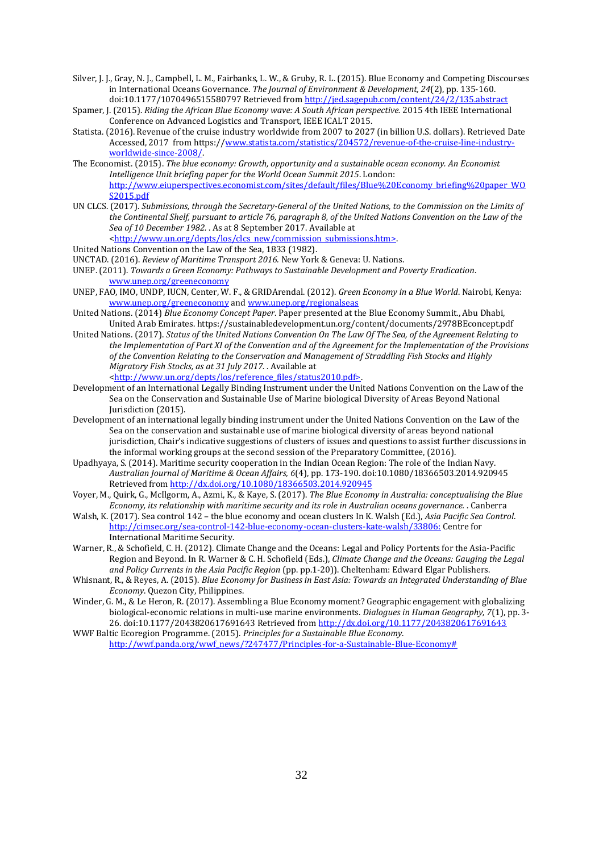- Silver, J. J., Gray, N. J., Campbell, L. M., Fairbanks, L. W., & Gruby, R. L. (2015). Blue Economy and Competing Discourses in International Oceans Governance. *The Journal of Environment & Development, 24*(2), pp. 135-160. doi:10.1177/1070496515580797 Retrieved fro[m http://jed.sagepub.com/content/24/2/135.abstract](http://jed.sagepub.com/content/24/2/135.abstract)
- Spamer, J. (2015). *Riding the African Blue Economy wave: A South African perspective.* 2015 4th IEEE International Conference on Advanced Logistics and Transport, IEEE ICALT 2015.
- Statista. (2016). Revenue of the cruise industry worldwide from 2007 to 2027 (in billion U.S. dollars). Retrieved Date Accessed, 2017 from https:/[/www.statista.com/statistics/204572/revenue-of-the-cruise-line-industry](http://www.statista.com/statistics/204572/revenue-of-the-cruise-line-industry-worldwide-since-2008/)[worldwide-since-2008/.](http://www.statista.com/statistics/204572/revenue-of-the-cruise-line-industry-worldwide-since-2008/)
- The Economist. (2015). *The blue economy: Growth, opportunity and a sustainable ocean economy. An Economist Intelligence Unit briefing paper for the World Ocean Summit 2015*. London: [http://www.eiuperspectives.economist.com/sites/default/files/Blue%20Economy\\_briefing%20paper\\_WO](http://www.eiuperspectives.economist.com/sites/default/files/Blue%20Economy_briefing%20paper_WOS2015.pdf) [S2015.pdf](http://www.eiuperspectives.economist.com/sites/default/files/Blue%20Economy_briefing%20paper_WOS2015.pdf)
- UN CLCS. (2017). *Submissions, through the Secretary-General of the United Nations, to the Commission on the Limits of the Continental Shelf, pursuant to article 76, paragraph 8, of the United Nations Convention on the Law of the Sea of 10 December 1982.* . As at 8 September 2017. Available at [<http://www.un.org/depts/los/clcs\\_new/commission\\_submissions.htm>.](http://www.un.org/depts/los/clcs_new/commission_submissions.htm%3e)

United Nations Convention on the Law of the Sea, 1833 (1982).

UNCTAD. (2016). *Review of Maritime Transport 2016.* New York & Geneva: U. Nations.

UNEP. (2011). *Towards a Green Economy: Pathways to Sustainable Development and Poverty Eradication*. [www.unep.org/greeneconomy](http://www.unep.org/greeneconomy)

- UNEP, FAO, IMO, UNDP, IUCN, Center, W. F., & GRIDArendal. (2012). *Green Economy in a Blue World*. Nairobi, Kenya: [www.unep.org/greeneconomy](http://www.unep.org/greeneconomy) an[d www.unep.org/regionalseas](http://www.unep.org/regionalseas)
- United Nations. (2014) *Blue Economy Concept Paper*. Paper presented at the Blue Economy Summit., Abu Dhabi, United Arab Emirates. https://sustainabledevelopment.un.org/content/documents/2978BEconcept.pdf
- United Nations. (2017). *Status of the United Nations Convention On The Law Of The Sea, of the Agreement Relating to the Implementation of Part XI of the Convention and of the Agreement for the Implementation of the Provisions of the Convention Relating to the Conservation and Management of Straddling Fish Stocks and Highly Migratory Fish Stocks, as at 31 July 2017.* . Available at [<http://www.un.org/depts/los/reference\\_files/status2010.pdf>.](http://www.un.org/depts/los/reference_files/status2010.pdf%3e)
- Development of an International Legally Binding Instrument under the United Nations Convention on the Law of the Sea on the Conservation and Sustainable Use of Marine biological Diversity of Areas Beyond National Jurisdiction (2015).
- Development of an international legally binding instrument under the United Nations Convention on the Law of the Sea on the conservation and sustainable use of marine biological diversity of areas beyond national jurisdiction, Chair's indicative suggestions of clusters of issues and questions to assist further discussions in the informal working groups at the second session of the Preparatory Committee, (2016).
- Upadhyaya, S. (2014). Maritime security cooperation in the Indian Ocean Region: The role of the Indian Navy. *Australian Journal of Maritime & Ocean Affairs, 6*(4), pp. 173-190. doi:10.1080/18366503.2014.920945 Retrieved fro[m http://dx.doi.org/10.1080/18366503.2014.920945](http://dx.doi.org/10.1080/18366503.2014.920945)
- Voyer, M., Quirk, G., McIlgorm, A., Azmi, K., & Kaye, S. (2017). *The Blue Economy in Australia: conceptualising the Blue Economy, its relationship with maritime security and its role in Australian oceans governance.* . Canberra
- Walsh, K. (2017). Sea control 142 the blue economy and ocean clusters In K. Walsh (Ed.), *Asia Pacific Sea Control*. <http://cimsec.org/sea-control-142-blue-economy-ocean-clusters-kate-walsh/33806:> Centre for International Maritime Security.
- Warner, R., & Schofield, C. H. (2012). Climate Change and the Oceans: Legal and Policy Portents for the Asia-Pacific Region and Beyond. In R. Warner & C. H. Schofield (Eds.), *Climate Change and the Oceans: Gauging the Legal and Policy Currents in the Asia Pacific Region* (pp. pp.1-20)). Cheltenham: Edward Elgar Publishers.
- Whisnant, R., & Reyes, A. (2015). *Blue Economy for Business in East Asia: Towards an Integrated Understanding of Blue Economy*. Quezon City, Philippines.
- Winder, G. M., & Le Heron, R. (2017). Assembling a Blue Economy moment? Geographic engagement with globalizing biological-economic relations in multi-use marine environments. *Dialogues in Human Geography, 7*(1), pp. 3- 26. doi:10.1177/2043820617691643 Retrieved fro[m http://dx.doi.org/10.1177/2043820617691643](http://dx.doi.org/10.1177/2043820617691643)

WWF Baltic Ecoregion Programme. (2015). *Principles for a Sustainable Blue Economy*. [http://wwf.panda.org/wwf\\_news/?247477/Principles-for-a-Sustainable-Blue-Economy#](http://wwf.panda.org/wwf_news/?247477/Principles-for-a-Sustainable-Blue-Economy)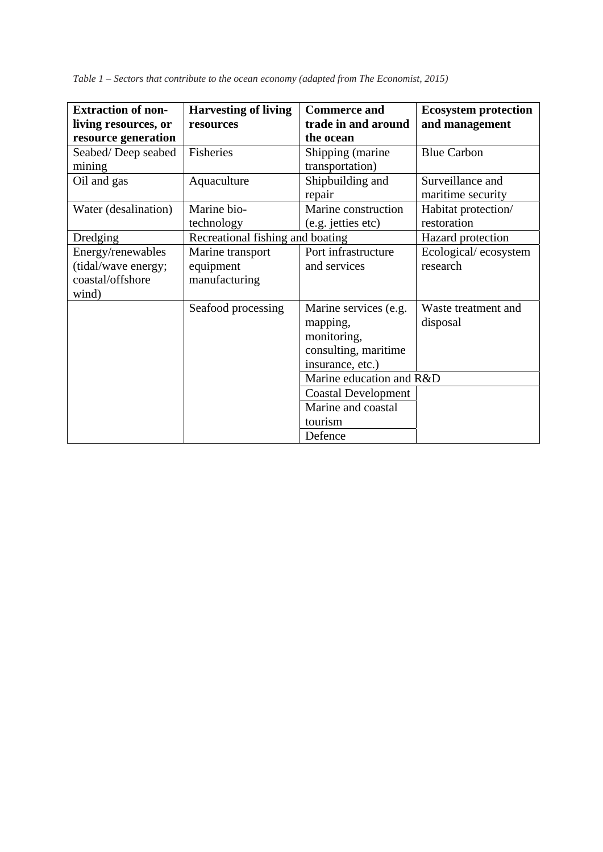*Table 1 – Sectors that contribute to the ocean economy (adapted from The Economist, 2015)* 

| <b>Extraction of non-</b> | <b>Harvesting of living</b>      | <b>Commerce and</b>        | <b>Ecosystem protection</b> |
|---------------------------|----------------------------------|----------------------------|-----------------------------|
| living resources, or      | resources                        | trade in and around        | and management              |
| resource generation       |                                  | the ocean                  |                             |
| Seabed/Deep seabed        | Fisheries                        | Shipping (marine           | <b>Blue Carbon</b>          |
| mining                    |                                  | transportation)            |                             |
| Oil and gas               | Aquaculture                      | Shipbuilding and           | Surveillance and            |
|                           |                                  | repair                     | maritime security           |
| Water (desalination)      | Marine bio-                      | Marine construction        | Habitat protection/         |
|                           | technology                       | (e.g. jetties etc)         | restoration                 |
| Dredging                  | Recreational fishing and boating |                            | Hazard protection           |
| Energy/renewables         | Marine transport                 | Port infrastructure        | Ecological/ecosystem        |
| (tidal/wave energy;       | equipment                        | and services               | research                    |
| coastal/offshore          | manufacturing                    |                            |                             |
| wind)                     |                                  |                            |                             |
|                           | Seafood processing               | Marine services (e.g.      | Waste treatment and         |
|                           |                                  | mapping,                   | disposal                    |
|                           |                                  | monitoring,                |                             |
|                           |                                  | consulting, maritime       |                             |
|                           |                                  | insurance, etc.)           |                             |
|                           |                                  | Marine education and R&D   |                             |
|                           |                                  | <b>Coastal Development</b> |                             |
|                           |                                  | Marine and coastal         |                             |
|                           |                                  | tourism                    |                             |
|                           |                                  | Defence                    |                             |